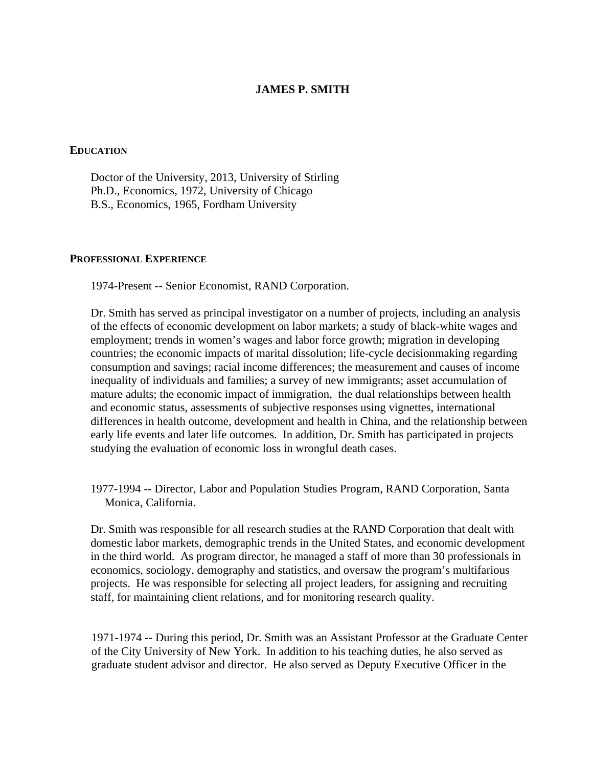# **JAMES P. SMITH**

#### **EDUCATION**

 Doctor of the University, 2013, University of Stirling Ph.D., Economics, 1972, University of Chicago B.S., Economics, 1965, Fordham University

#### **PROFESSIONAL EXPERIENCE**

1974-Present -- Senior Economist, RAND Corporation.

 Dr. Smith has served as principal investigator on a number of projects, including an analysis of the effects of economic development on labor markets; a study of black-white wages and employment; trends in women's wages and labor force growth; migration in developing countries; the economic impacts of marital dissolution; life-cycle decisionmaking regarding consumption and savings; racial income differences; the measurement and causes of income inequality of individuals and families; a survey of new immigrants; asset accumulation of mature adults; the economic impact of immigration, the dual relationships between health and economic status, assessments of subjective responses using vignettes, international differences in health outcome, development and health in China, and the relationship between early life events and later life outcomes. In addition, Dr. Smith has participated in projects studying the evaluation of economic loss in wrongful death cases.

 1977-1994 -- Director, Labor and Population Studies Program, RAND Corporation, Santa Monica, California.

 Dr. Smith was responsible for all research studies at the RAND Corporation that dealt with domestic labor markets, demographic trends in the United States, and economic development in the third world. As program director, he managed a staff of more than 30 professionals in economics, sociology, demography and statistics, and oversaw the program's multifarious projects. He was responsible for selecting all project leaders, for assigning and recruiting staff, for maintaining client relations, and for monitoring research quality.

 1971-1974 -- During this period, Dr. Smith was an Assistant Professor at the Graduate Center of the City University of New York. In addition to his teaching duties, he also served as graduate student advisor and director. He also served as Deputy Executive Officer in the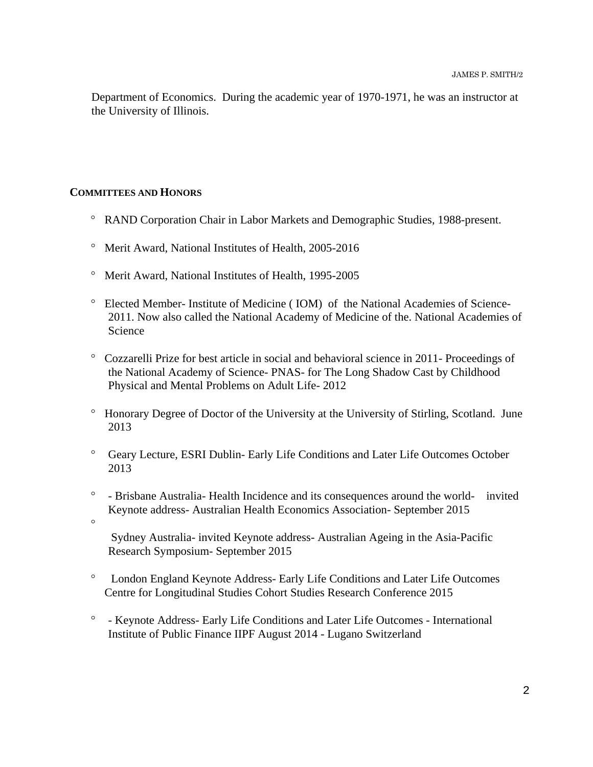Department of Economics. During the academic year of 1970-1971, he was an instructor at the University of Illinois.

# **COMMITTEES AND HONORS**

- RAND Corporation Chair in Labor Markets and Demographic Studies, 1988-present.
- Merit Award, National Institutes of Health, 2005-2016
- Merit Award, National Institutes of Health, 1995-2005
- Elected Member- Institute of Medicine ( IOM) of the National Academies of Science-2011. Now also called the National Academy of Medicine of the. National Academies of Science
- Cozzarelli Prize for best article in social and behavioral science in 2011- Proceedings of the National Academy of Science- PNAS- for The Long Shadow Cast by Childhood Physical and Mental Problems on Adult Life- 2012
- Honorary Degree of Doctor of the University at the University of Stirling, Scotland. June 2013
- Geary Lecture, ESRI Dublin- Early Life Conditions and Later Life Outcomes October 2013
- <sup>o</sup> Brisbane Australia- Health Incidence and its consequences around the world- invited Keynote address- Australian Health Economics Association- September 2015
- $\circ$

 Sydney Australia- invited Keynote address- Australian Ageing in the Asia-Pacific Research Symposium- September 2015

- London England Keynote Address- Early Life Conditions and Later Life Outcomes Centre for Longitudinal Studies Cohort Studies Research Conference 2015
- Keynote Address- Early Life Conditions and Later Life Outcomes International Institute of Public Finance IIPF August 2014 - Lugano Switzerland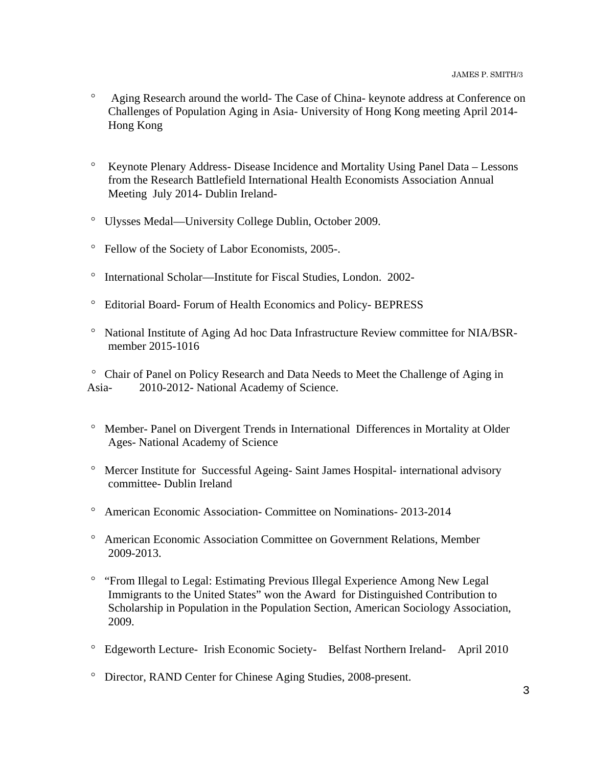- Aging Research around the world- The Case of China- keynote address at Conference on Challenges of Population Aging in Asia- University of Hong Kong meeting April 2014- Hong Kong
- Keynote Plenary Address- Disease Incidence and Mortality Using Panel Data Lessons from the Research Battlefield International Health Economists Association Annual Meeting July 2014- Dublin Ireland-
- Ulysses Medal—University College Dublin, October 2009.
- Fellow of the Society of Labor Economists, 2005-.
- <sup>o</sup> International Scholar—Institute for Fiscal Studies, London. 2002-
- Editorial Board- Forum of Health Economics and Policy- BEPRESS
- National Institute of Aging Ad hoc Data Infrastructure Review committee for NIA/BSRmember 2015-1016

 Chair of Panel on Policy Research and Data Needs to Meet the Challenge of Aging in Asia- 2010-2012- National Academy of Science.

- <sup>o</sup> Member- Panel on Divergent Trends in International Differences in Mortality at Older Ages- National Academy of Science
- Mercer Institute for Successful Ageing- Saint James Hospital- international advisory committee- Dublin Ireland
- American Economic Association- Committee on Nominations- 2013-2014
- American Economic Association Committee on Government Relations, Member 2009-2013.
- <sup>o</sup> "From Illegal to Legal: Estimating Previous Illegal Experience Among New Legal Immigrants to the United States" won the Award for Distinguished Contribution to Scholarship in Population in the Population Section, American Sociology Association, 2009.
- Edgeworth Lecture- Irish Economic Society- Belfast Northern Ireland- April 2010
- Director, RAND Center for Chinese Aging Studies, 2008-present.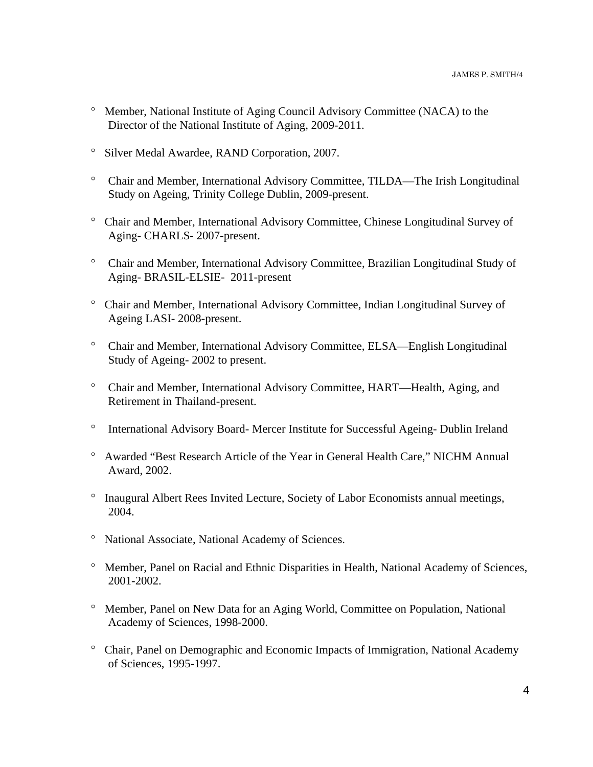- <sup>o</sup> Member, National Institute of Aging Council Advisory Committee (NACA) to the Director of the National Institute of Aging, 2009-2011.
- <sup>o</sup> Silver Medal Awardee, RAND Corporation, 2007.
- Chair and Member, International Advisory Committee, TILDA—The Irish Longitudinal Study on Ageing, Trinity College Dublin, 2009-present.
- Chair and Member, International Advisory Committee, Chinese Longitudinal Survey of Aging- CHARLS- 2007-present.
- Chair and Member, International Advisory Committee, Brazilian Longitudinal Study of Aging- BRASIL-ELSIE- 2011-present
- Chair and Member, International Advisory Committee, Indian Longitudinal Survey of Ageing LASI- 2008-present.
- Chair and Member, International Advisory Committee, ELSA—English Longitudinal Study of Ageing- 2002 to present.
- Chair and Member, International Advisory Committee, HART—Health, Aging, and Retirement in Thailand-present.
- <sup>o</sup> International Advisory Board- Mercer Institute for Successful Ageing- Dublin Ireland
- Awarded "Best Research Article of the Year in General Health Care," NICHM Annual Award, 2002.
- <sup>o</sup> Inaugural Albert Rees Invited Lecture, Society of Labor Economists annual meetings, 2004.
- <sup>o</sup> National Associate, National Academy of Sciences.
- <sup>o</sup> Member, Panel on Racial and Ethnic Disparities in Health, National Academy of Sciences, 2001-2002.
- Member, Panel on New Data for an Aging World, Committee on Population, National Academy of Sciences, 1998-2000.
- Chair, Panel on Demographic and Economic Impacts of Immigration, National Academy of Sciences, 1995-1997.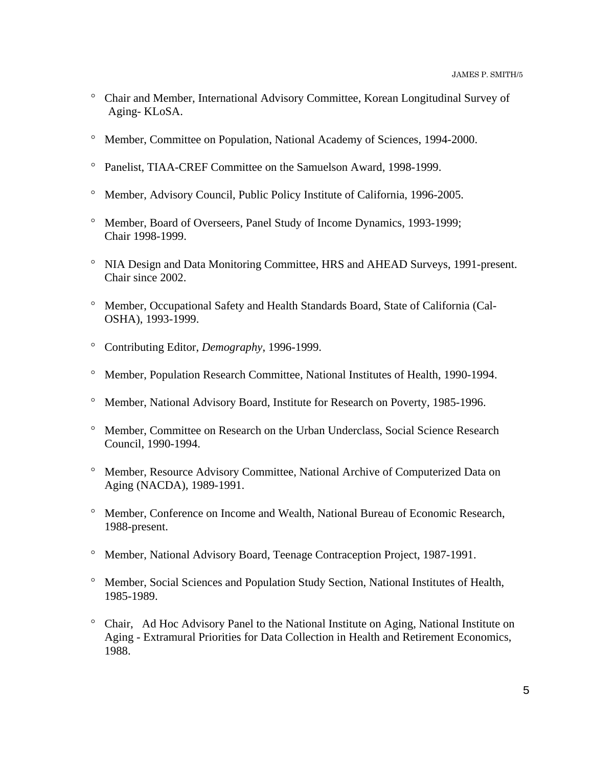- Chair and Member, International Advisory Committee, Korean Longitudinal Survey of Aging- KLoSA.
- Member, Committee on Population, National Academy of Sciences, 1994-2000.
- <sup>o</sup> Panelist, TIAA-CREF Committee on the Samuelson Award, 1998-1999.
- Member, Advisory Council, Public Policy Institute of California, 1996-2005.
- <sup>o</sup> Member, Board of Overseers, Panel Study of Income Dynamics, 1993-1999; Chair 1998-1999.
- <sup>o</sup> NIA Design and Data Monitoring Committee, HRS and AHEAD Surveys, 1991-present. Chair since 2002.
- Member, Occupational Safety and Health Standards Board, State of California (Cal-OSHA), 1993-1999.
- Contributing Editor, *Demography*, 1996-1999.
- Member, Population Research Committee, National Institutes of Health, 1990-1994.
- <sup>o</sup> Member, National Advisory Board, Institute for Research on Poverty, 1985-1996.
- Member, Committee on Research on the Urban Underclass, Social Science Research Council, 1990-1994.
- Member, Resource Advisory Committee, National Archive of Computerized Data on Aging (NACDA), 1989-1991.
- Member, Conference on Income and Wealth, National Bureau of Economic Research, 1988-present.
- Member, National Advisory Board, Teenage Contraception Project, 1987-1991.
- Member, Social Sciences and Population Study Section, National Institutes of Health, 1985-1989.
- Chair, Ad Hoc Advisory Panel to the National Institute on Aging, National Institute on Aging - Extramural Priorities for Data Collection in Health and Retirement Economics, 1988.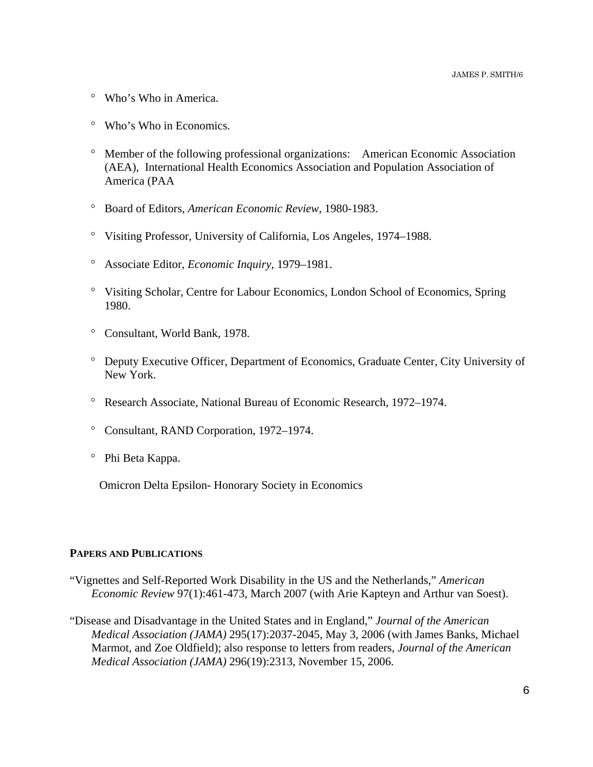- Who's Who in America.
- Who's Who in Economics.
- Member of the following professional organizations: American Economic Association (AEA), International Health Economics Association and Population Association of America (PAA
- Board of Editors, *American Economic Review*, 1980-1983.
- Visiting Professor, University of California, Los Angeles, 1974–1988.
- Associate Editor, *Economic Inquiry*, 1979–1981.
- Visiting Scholar, Centre for Labour Economics, London School of Economics, Spring 1980.
- Consultant, World Bank, 1978.
- Deputy Executive Officer, Department of Economics, Graduate Center, City University of New York.
- Research Associate, National Bureau of Economic Research, 1972–1974.
- Consultant, RAND Corporation, 1972–1974.
- Phi Beta Kappa.

Omicron Delta Epsilon- Honorary Society in Economics

### **PAPERS AND PUBLICATIONS**

- "Vignettes and Self-Reported Work Disability in the US and the Netherlands," *American Economic Review* 97(1):461-473, March 2007 (with Arie Kapteyn and Arthur van Soest).
- "Disease and Disadvantage in the United States and in England," *Journal of the American Medical Association (JAMA)* 295(17):2037-2045, May 3, 2006 (with James Banks, Michael Marmot, and Zoe Oldfield); also response to letters from readers, *Journal of the American Medical Association (JAMA)* 296(19):2313, November 15, 2006.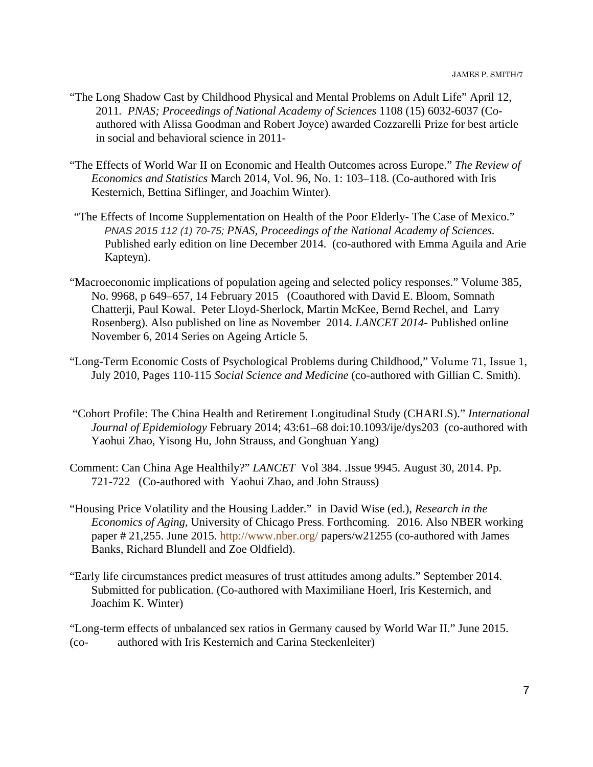- "The Long Shadow Cast by Childhood Physical and Mental Problems on Adult Life" April 12, 2011*. PNAS; Proceedings of National Academy of Sciences* 1108 (15) 6032-6037 (Coauthored with Alissa Goodman and Robert Joyce) awarded Cozzarelli Prize for best article in social and behavioral science in 2011-
- "The Effects of World War II on Economic and Health Outcomes across Europe." *The Review of Economics and Statistics* March 2014, Vol. 96, No. 1: 103–118. (Co-authored with Iris Kesternich, Bettina Siflinger, and Joachim Winter).
- "The Effects of Income Supplementation on Health of the Poor Elderly- The Case of Mexico." *PNAS 2015 112 (1) 70-75; PNAS, Proceedings of the National Academy of Sciences.* Published early edition on line December 2014. (co-authored with Emma Aguila and Arie Kapteyn).
- "Macroeconomic implications of population ageing and selected policy responses." Volume 385, No. 9968, p 649–657, 14 February 2015 (Coauthored with David E. Bloom, Somnath Chatterji, Paul Kowal. Peter Lloyd-Sherlock, Martin McKee, Bernd Rechel, and Larry Rosenberg). Also published on line as November 2014. *LANCET 2014*- Published online November 6, 2014 Series on Ageing Article 5.
- "Long-Term Economic Costs of Psychological Problems during Childhood," Volume 71, Issue 1, July 2010, Pages 110-115 *Social Science and Medicine* (co-authored with Gillian C. Smith).
- "Cohort Profile: The China Health and Retirement Longitudinal Study (CHARLS)." *International Journal of Epidemiology* February 2014; 43:61–68 doi:10.1093/ije/dys203 (co-authored with Yaohui Zhao, Yisong Hu, John Strauss, and Gonghuan Yang)
- Comment: Can China Age Healthily?" *LANCET* Vol 384. .Issue 9945. August 30, 2014. Pp. 721-722 (Co-authored with Yaohui Zhao, and John Strauss)
- "Housing Price Volatility and the Housing Ladder." in David Wise (ed.), *Research in the Economics of Aging*, University of Chicago Press. Forthcoming. 2016. Also NBER working paper # 21,255. June 2015. http://www.nber.org/ papers/w21255 (co-authored with James Banks, Richard Blundell and Zoe Oldfield).
- "Early life circumstances predict measures of trust attitudes among adults." September 2014. Submitted for publication. (Co-authored with Maximiliane Hoerl, Iris Kesternich, and Joachim K. Winter)

"Long-term effects of unbalanced sex ratios in Germany caused by World War II." June 2015. (co- authored with Iris Kesternich and Carina Steckenleiter)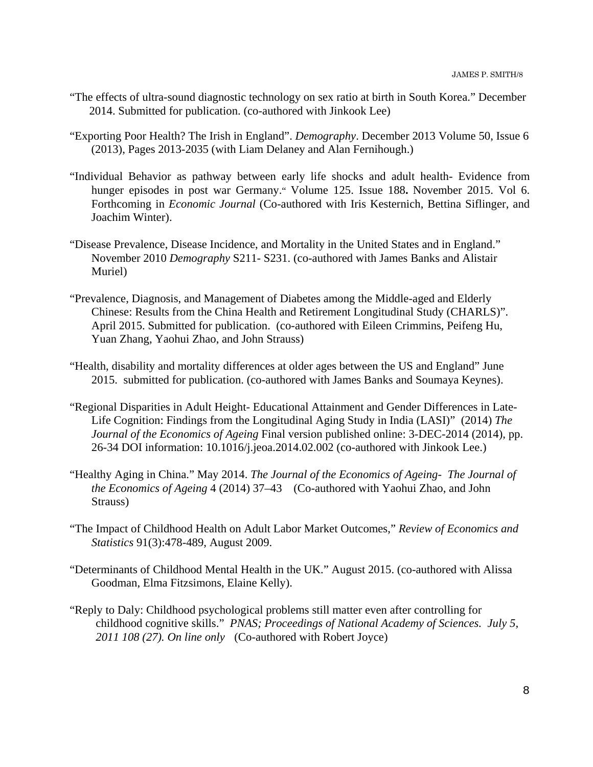- "The effects of ultra-sound diagnostic technology on sex ratio at birth in South Korea." December 2014. Submitted for publication. (co-authored with Jinkook Lee)
- "Exporting Poor Health? The Irish in England". *Demography*. December 2013 Volume 50, Issue 6 (2013), Pages 2013-2035 (with Liam Delaney and Alan Fernihough.)
- "Individual Behavior as pathway between early life shocks and adult health- Evidence from hunger episodes in post war Germany." Volume 125. Issue 188**.** November 2015. Vol 6. Forthcoming in *Economic Journal* (Co-authored with Iris Kesternich, Bettina Siflinger, and Joachim Winter).
- "Disease Prevalence, Disease Incidence, and Mortality in the United States and in England." November 2010 *Demography* S211- S231. (co-authored with James Banks and Alistair Muriel)
- "Prevalence, Diagnosis, and Management of Diabetes among the Middle-aged and Elderly Chinese: Results from the China Health and Retirement Longitudinal Study (CHARLS)". April 2015. Submitted for publication. (co-authored with Eileen Crimmins, Peifeng Hu, Yuan Zhang, Yaohui Zhao, and John Strauss)
- "Health, disability and mortality differences at older ages between the US and England" June 2015. submitted for publication. (co-authored with James Banks and Soumaya Keynes).
- "Regional Disparities in Adult Height- Educational Attainment and Gender Differences in Late-Life Cognition: Findings from the Longitudinal Aging Study in India (LASI)" (2014) *The Journal of the Economics of Ageing* Final version published online: 3-DEC-2014 (2014), pp. 26-34 DOI information: 10.1016/j.jeoa.2014.02.002 (co-authored with Jinkook Lee.)
- "Healthy Aging in China." May 2014. *The Journal of the Economics of Ageing The Journal of the Economics of Ageing* 4 (2014) 37–43 (Co-authored with Yaohui Zhao, and John Strauss)
- "The Impact of Childhood Health on Adult Labor Market Outcomes," *Review of Economics and Statistics* 91(3):478-489, August 2009.
- "Determinants of Childhood Mental Health in the UK." August 2015. (co-authored with Alissa Goodman, Elma Fitzsimons, Elaine Kelly).
- "Reply to Daly: Childhood psychological problems still matter even after controlling for childhood cognitive skills." *PNAS; Proceedings of National Academy of Sciences. July 5, 2011 108 (27). On line only* (Co-authored with Robert Joyce)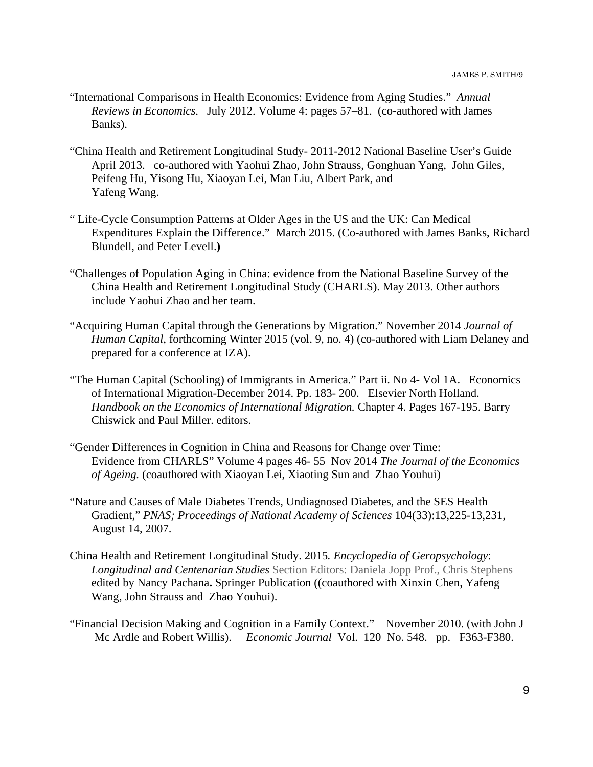- "International Comparisons in Health Economics: Evidence from Aging Studies." *Annual Reviews in Economics*. July 2012. Volume 4: pages 57–81. (co-authored with James Banks).
- "China Health and Retirement Longitudinal Study- 2011-2012 National Baseline User's Guide April 2013. co-authored with Yaohui Zhao, John Strauss, Gonghuan Yang, John Giles, Peifeng Hu, Yisong Hu, Xiaoyan Lei, Man Liu, Albert Park, and Yafeng Wang.
- " Life-Cycle Consumption Patterns at Older Ages in the US and the UK: Can Medical Expenditures Explain the Difference." March 2015. (Co-authored with James Banks, Richard Blundell, and Peter Levell.**)**
- "Challenges of Population Aging in China: evidence from the National Baseline Survey of the China Health and Retirement Longitudinal Study (CHARLS). May 2013. Other authors include Yaohui Zhao and her team.
- "Acquiring Human Capital through the Generations by Migration." November 2014 *Journal of Human Capital*, forthcoming Winter 2015 (vol. 9, no. 4) (co-authored with Liam Delaney and prepared for a conference at IZA).
- "The Human Capital (Schooling) of Immigrants in America." Part ii. No 4- Vol 1A. Economics of International Migration-December 2014. Pp. 183- 200. Elsevier North Holland. *Handbook on the Economics of International Migration.* Chapter 4. Pages 167-195. Barry Chiswick and Paul Miller. editors.
- "Gender Differences in Cognition in China and Reasons for Change over Time: Evidence from CHARLS" Volume 4 pages 46- 55 Nov 2014 *The Journal of the Economics of Ageing.* (coauthored with Xiaoyan Lei, Xiaoting Sun and Zhao Youhui)
- "Nature and Causes of Male Diabetes Trends, Undiagnosed Diabetes, and the SES Health Gradient," *PNAS; Proceedings of National Academy of Sciences* 104(33):13,225-13,231, August 14, 2007.
- China Health and Retirement Longitudinal Study. 2015*. Encyclopedia of Geropsychology*: *Longitudinal and Centenarian Studies* Section Editors: Daniela Jopp Prof., Chris Stephens edited by Nancy Pachana**.** Springer Publication ((coauthored with Xinxin Chen, Yafeng Wang, John Strauss and Zhao Youhui).
- "Financial Decision Making and Cognition in a Family Context." November 2010. (with John J Mc Ardle and Robert Willis). *Economic Journal* Vol. 120 No. 548. pp. F363-F380.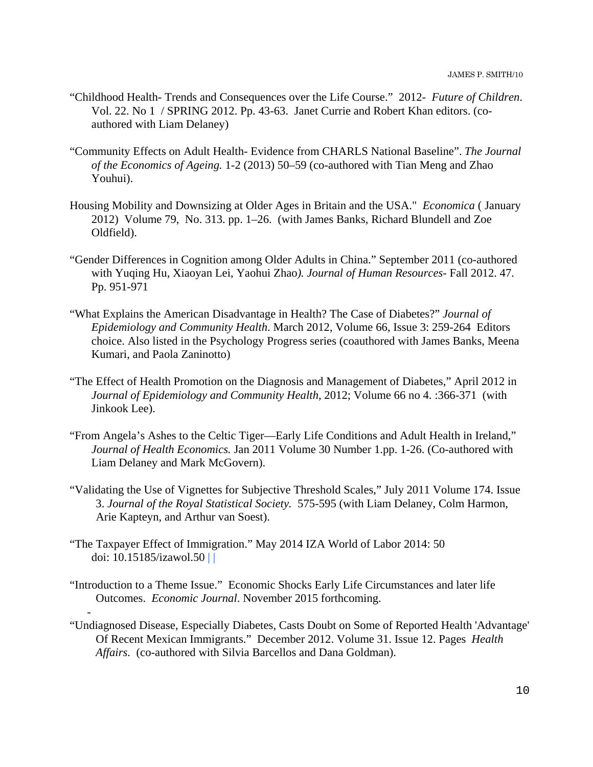- "Childhood Health- Trends and Consequences over the Life Course." 2012- *Future of Children*. Vol. 22. No 1 / SPRING 2012. Pp. 43-63. Janet Currie and Robert Khan editors. (coauthored with Liam Delaney)
- "Community Effects on Adult Health- Evidence from CHARLS National Baseline". *The Journal of the Economics of Ageing.* 1-2 (2013) 50–59 (co-authored with Tian Meng and Zhao Youhui).
- Housing Mobility and Downsizing at Older Ages in Britain and the USA." *Economica* ( January 2012) Volume 79, No. 313. pp. 1–26. (with James Banks, Richard Blundell and Zoe Oldfield).
- "Gender Differences in Cognition among Older Adults in China." September 2011 (co-authored with Yuqing Hu, Xiaoyan Lei, Yaohui Zhao*). Journal of Human Resources*- Fall 2012. 47. Pp. 951-971
- "What Explains the American Disadvantage in Health? The Case of Diabetes?" *Journal of Epidemiology and Community Health*. March 2012, Volume 66, Issue 3: 259-264 Editors choice. Also listed in the Psychology Progress series (coauthored with James Banks, Meena Kumari, and Paola Zaninotto)
- "The Effect of Health Promotion on the Diagnosis and Management of Diabetes," April 2012 in *Journal of Epidemiology and Community Health*, 2012; Volume 66 no 4. :366-371 (with Jinkook Lee).
- "From Angela's Ashes to the Celtic Tiger—Early Life Conditions and Adult Health in Ireland," *Journal of Health Economics.* Jan 2011 Volume 30 Number 1.pp. 1-26. (Co-authored with Liam Delaney and Mark McGovern).
- "Validating the Use of Vignettes for Subjective Threshold Scales," July 2011 Volume 174. Issue 3. *Journal of the Royal Statistical Society.* 575-595 (with Liam Delaney, Colm Harmon, Arie Kapteyn, and Arthur van Soest).
- "The Taxpayer Effect of Immigration." May 2014 IZA World of Labor 2014: 50 doi: 10.15185/izawol.50 | |

-

- "Introduction to a Theme Issue." Economic Shocks Early Life Circumstances and later life Outcomes. *Economic Journal*. November 2015 forthcoming.
- "Undiagnosed Disease, Especially Diabetes, Casts Doubt on Some of Reported Health 'Advantage' Of Recent Mexican Immigrants." December 2012. Volume 31. Issue 12. Pages *Health Affairs.* (co-authored with Silvia Barcellos and Dana Goldman).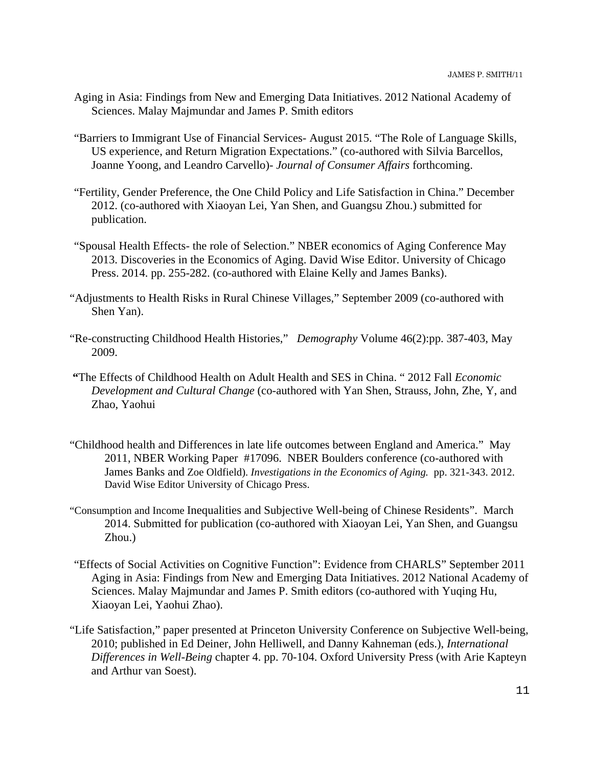- Aging in Asia: Findings from New and Emerging Data Initiatives. 2012 National Academy of Sciences. Malay Majmundar and James P. Smith editors
- "Barriers to Immigrant Use of Financial Services- August 2015. "The Role of Language Skills, US experience, and Return Migration Expectations." (co-authored with Silvia Barcellos, Joanne Yoong, and Leandro Carvello)- *Journal of Consumer Affairs* forthcoming.
- "Fertility, Gender Preference, the One Child Policy and Life Satisfaction in China." December 2012. (co-authored with Xiaoyan Lei, Yan Shen, and Guangsu Zhou.) submitted for publication.
- "Spousal Health Effects- the role of Selection." NBER economics of Aging Conference May 2013. Discoveries in the Economics of Aging. David Wise Editor. University of Chicago Press. 2014. pp. 255-282. (co-authored with Elaine Kelly and James Banks).
- "Adjustments to Health Risks in Rural Chinese Villages," September 2009 (co-authored with Shen Yan).
- "Re-constructing Childhood Health Histories," *Demography* Volume 46(2):pp. 387-403, May 2009.
- **"**The Effects of Childhood Health on Adult Health and SES in China. " 2012 Fall *Economic Development and Cultural Change* (co-authored with Yan Shen, Strauss, John, Zhe, Y, and Zhao, Yaohui
- "Childhood health and Differences in late life outcomes between England and America." May 2011, NBER Working Paper #17096. NBER Boulders conference (co-authored with James Banks and Zoe Oldfield). *Investigations in the Economics of Aging.* pp. 321-343. 2012. David Wise Editor University of Chicago Press.
- "Consumption and Income Inequalities and Subjective Well-being of Chinese Residents". March 2014. Submitted for publication (co-authored with Xiaoyan Lei, Yan Shen, and Guangsu Zhou.)
- "Effects of Social Activities on Cognitive Function": Evidence from CHARLS" September 2011 Aging in Asia: Findings from New and Emerging Data Initiatives. 2012 National Academy of Sciences. Malay Majmundar and James P. Smith editors (co-authored with Yuqing Hu, Xiaoyan Lei, Yaohui Zhao).
- "Life Satisfaction," paper presented at Princeton University Conference on Subjective Well-being, 2010; published in Ed Deiner, John Helliwell, and Danny Kahneman (eds.), *International Differences in Well-Being* chapter 4. pp. 70-104. Oxford University Press (with Arie Kapteyn and Arthur van Soest).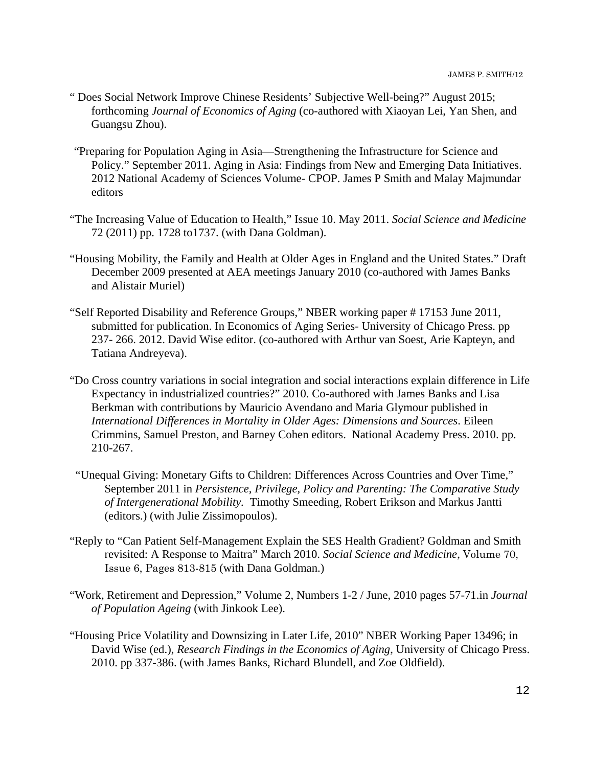- " Does Social Network Improve Chinese Residents' Subjective Well-being?" August 2015; forthcoming *Journal of Economics of Aging* (co-authored with Xiaoyan Lei, Yan Shen, and Guangsu Zhou).
- "Preparing for Population Aging in Asia—Strengthening the Infrastructure for Science and Policy." September 2011. Aging in Asia: Findings from New and Emerging Data Initiatives. 2012 National Academy of Sciences Volume- CPOP. James P Smith and Malay Majmundar editors
- "The Increasing Value of Education to Health," Issue 10. May 2011. *Social Science and Medicine* 72 (2011) pp. 1728 to1737. (with Dana Goldman).
- "Housing Mobility, the Family and Health at Older Ages in England and the United States." Draft December 2009 presented at AEA meetings January 2010 (co-authored with James Banks and Alistair Muriel)
- "Self Reported Disability and Reference Groups," NBER working paper # 17153 June 2011, submitted for publication. In Economics of Aging Series- University of Chicago Press. pp 237- 266. 2012. David Wise editor. (co-authored with Arthur van Soest, Arie Kapteyn, and Tatiana Andreyeva).
- "Do Cross country variations in social integration and social interactions explain difference in Life Expectancy in industrialized countries?" 2010. Co-authored with James Banks and Lisa Berkman with contributions by Mauricio Avendano and Maria Glymour published in  *International Differences in Mortality in Older Ages: Dimensions and Sources*. Eileen Crimmins, Samuel Preston, and Barney Cohen editors. National Academy Press. 2010. pp. 210-267.
- "Unequal Giving: Monetary Gifts to Children: Differences Across Countries and Over Time," September 2011 in *Persistence, Privilege, Policy and Parenting: The Comparative Study of Intergenerational Mobility.* Timothy Smeeding, Robert Erikson and Markus Jantti (editors.) (with Julie Zissimopoulos).
- "Reply to "Can Patient Self-Management Explain the SES Health Gradient? Goldman and Smith revisited: A Response to Maitra" March 2010. *Social Science and Medicine*, Volume 70, Issue 6, Pages 813-815 (with Dana Goldman.)
- "Work, Retirement and Depression," Volume 2, Numbers 1-2 / June, 2010 pages 57-71.in *Journal of Population Ageing* (with Jinkook Lee).
- "Housing Price Volatility and Downsizing in Later Life, 2010" NBER Working Paper 13496; in David Wise (ed.), *Research Findings in the Economics of Aging*, University of Chicago Press. 2010. pp 337-386. (with James Banks, Richard Blundell, and Zoe Oldfield).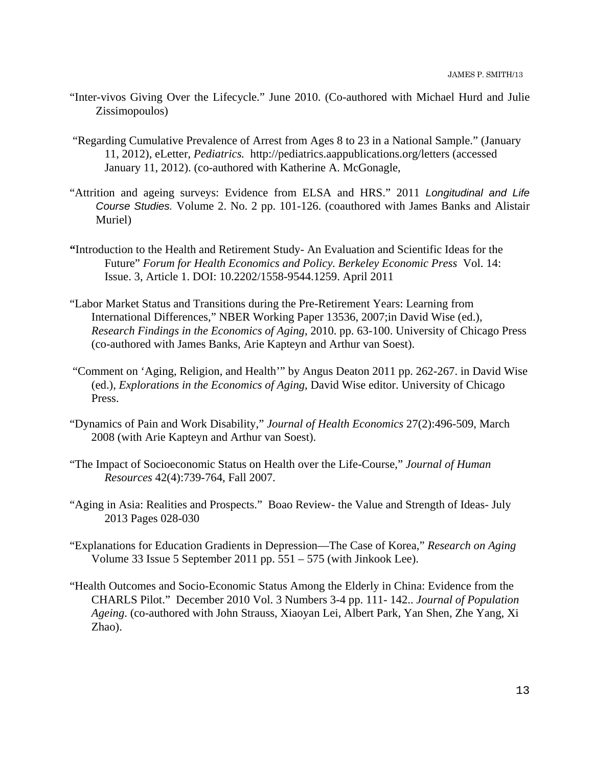- "Inter-vivos Giving Over the Lifecycle." June 2010. (Co-authored with Michael Hurd and Julie Zissimopoulos)
- "Regarding Cumulative Prevalence of Arrest from Ages 8 to 23 in a National Sample." (January 11, 2012), eLetter, *Pediatrics.* http://pediatrics.aappublications.org/letters (accessed January 11, 2012). (co-authored with Katherine A. McGonagle,
- "Attrition and ageing surveys: Evidence from ELSA and HRS." 2011 *Longitudinal and Life Course Studies.* Volume 2. No. 2 pp. 101-126. (coauthored with James Banks and Alistair Muriel)
- **"**Introduction to the Health and Retirement Study- An Evaluation and Scientific Ideas for the Future" *Forum for Health Economics and Policy. Berkeley Economic Press* Vol. 14: Issue. 3, Article 1. DOI: 10.2202/1558-9544.1259. April 2011
- "Labor Market Status and Transitions during the Pre-Retirement Years: Learning from International Differences," NBER Working Paper 13536, 2007;in David Wise (ed.), *Research Findings in the Economics of Aging*, 2010. pp. 63-100. University of Chicago Press (co-authored with James Banks, Arie Kapteyn and Arthur van Soest).
- "Comment on 'Aging, Religion, and Health'" by Angus Deaton 2011 pp. 262-267. in David Wise (ed.), *Explorations in the Economics of Aging*, David Wise editor. University of Chicago Press.
- "Dynamics of Pain and Work Disability," *Journal of Health Economics* 27(2):496-509, March 2008 (with Arie Kapteyn and Arthur van Soest).
- "The Impact of Socioeconomic Status on Health over the Life-Course," *Journal of Human Resources* 42(4):739-764, Fall 2007.
- "Aging in Asia: Realities and Prospects." Boao Review- the Value and Strength of Ideas- July 2013 Pages 028-030
- "Explanations for Education Gradients in Depression—The Case of Korea," *Research on Aging*  Volume 33 Issue 5 September 2011 pp. 551 – 575 (with Jinkook Lee).
- "Health Outcomes and Socio-Economic Status Among the Elderly in China: Evidence from the CHARLS Pilot." December 2010 Vol. 3 Numbers 3-4 pp. 111- 142.. *Journal of Population Ageing*. (co-authored with John Strauss, Xiaoyan Lei, Albert Park, Yan Shen, Zhe Yang, Xi Zhao).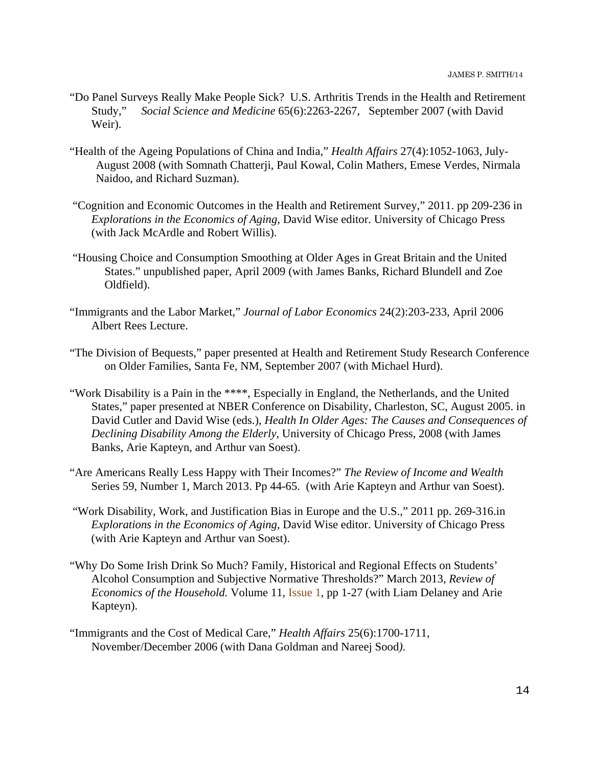- "Do Panel Surveys Really Make People Sick? U.S. Arthritis Trends in the Health and Retirement Study," *Social Science and Medicine* 65(6):2263-2267, September 2007 (with David Weir).
- "Health of the Ageing Populations of China and India," *Health Affairs* 27(4):1052-1063, July-August 2008 (with Somnath Chatterji, Paul Kowal, Colin Mathers, Emese Verdes, Nirmala Naidoo, and Richard Suzman).
- "Cognition and Economic Outcomes in the Health and Retirement Survey," 2011. pp 209-236 in *Explorations in the Economics of Aging*, David Wise editor. University of Chicago Press (with Jack McArdle and Robert Willis).
- "Housing Choice and Consumption Smoothing at Older Ages in Great Britain and the United States." unpublished paper, April 2009 (with James Banks, Richard Blundell and Zoe Oldfield).
- "Immigrants and the Labor Market," *Journal of Labor Economics* 24(2):203-233, April 2006 Albert Rees Lecture.
- "The Division of Bequests," paper presented at Health and Retirement Study Research Conference on Older Families, Santa Fe, NM, September 2007 (with Michael Hurd).
- "Work Disability is a Pain in the \*\*\*\*, Especially in England, the Netherlands, and the United States," paper presented at NBER Conference on Disability, Charleston, SC, August 2005. in David Cutler and David Wise (eds.), *Health In Older Ages: The Causes and Consequences of Declining Disability Among the Elderly*, University of Chicago Press, 2008 (with James Banks, Arie Kapteyn, and Arthur van Soest).
- "Are Americans Really Less Happy with Their Incomes?" *The Review of Income and Wealth*  Series 59, Number 1, March 2013. Pp 44-65. (with Arie Kapteyn and Arthur van Soest).
- "Work Disability, Work, and Justification Bias in Europe and the U.S.," 2011 pp. 269-316.in *Explorations in the Economics of Aging*, David Wise editor. University of Chicago Press (with Arie Kapteyn and Arthur van Soest).
- "Why Do Some Irish Drink So Much? Family, Historical and Regional Effects on Students' Alcohol Consumption and Subjective Normative Thresholds?" March 2013, *Review of Economics of the Household.* Volume 11, Issue 1, pp 1-27 (with Liam Delaney and Arie Kapteyn).
- "Immigrants and the Cost of Medical Care," *Health Affairs* 25(6):1700-1711, November/December 2006 (with Dana Goldman and Nareej Sood*)*.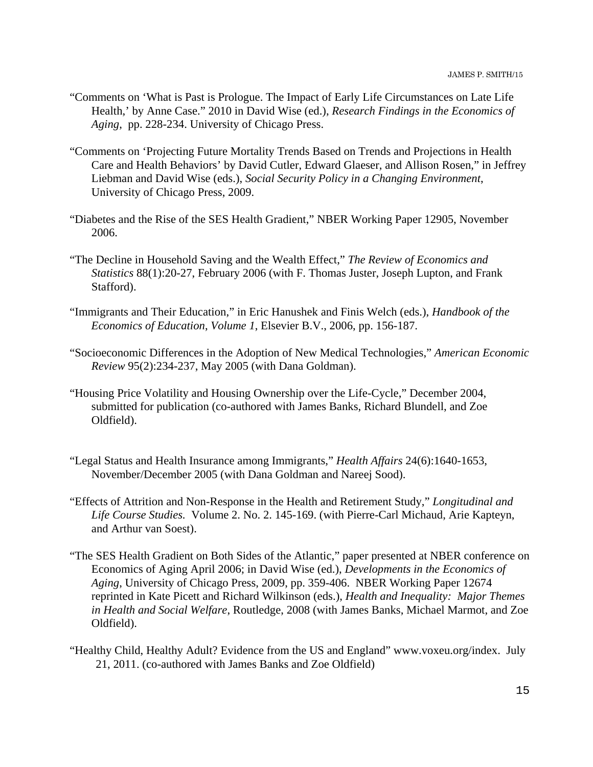- "Comments on 'What is Past is Prologue. The Impact of Early Life Circumstances on Late Life Health,' by Anne Case." 2010 in David Wise (ed.), *Research Findings in the Economics of Aging*, pp. 228-234. University of Chicago Press.
- "Comments on 'Projecting Future Mortality Trends Based on Trends and Projections in Health Care and Health Behaviors' by David Cutler, Edward Glaeser, and Allison Rosen," in Jeffrey Liebman and David Wise (eds.), *Social Security Policy in a Changing Environment*, University of Chicago Press, 2009.
- "Diabetes and the Rise of the SES Health Gradient," NBER Working Paper 12905, November 2006.
- "The Decline in Household Saving and the Wealth Effect," *The Review of Economics and Statistics* 88(1):20-27, February 2006 (with F. Thomas Juster, Joseph Lupton, and Frank Stafford).
- "Immigrants and Their Education," in Eric Hanushek and Finis Welch (eds.), *Handbook of the Economics of Education*, *Volume 1*, Elsevier B.V., 2006, pp. 156-187.
- "Socioeconomic Differences in the Adoption of New Medical Technologies," *American Economic Review* 95(2):234-237, May 2005 (with Dana Goldman).
- "Housing Price Volatility and Housing Ownership over the Life-Cycle," December 2004, submitted for publication (co-authored with James Banks, Richard Blundell, and Zoe Oldfield).
- "Legal Status and Health Insurance among Immigrants," *Health Affairs* 24(6):1640-1653, November/December 2005 (with Dana Goldman and Nareej Sood).
- "Effects of Attrition and Non-Response in the Health and Retirement Study," *Longitudinal and Life Course Studies.*Volume 2. No. 2. 145-169. (with Pierre-Carl Michaud, Arie Kapteyn, and Arthur van Soest).
- "The SES Health Gradient on Both Sides of the Atlantic," paper presented at NBER conference on Economics of Aging April 2006; in David Wise (ed.), *Developments in the Economics of Aging*, University of Chicago Press, 2009, pp. 359-406. NBER Working Paper 12674 reprinted in Kate Picett and Richard Wilkinson (eds.), *Health and Inequality: Major Themes in Health and Social Welfare*, Routledge, 2008 (with James Banks, Michael Marmot, and Zoe Oldfield).
- "Healthy Child, Healthy Adult? Evidence from the US and England" www.voxeu.org/index. July 21, 2011. (co-authored with James Banks and Zoe Oldfield)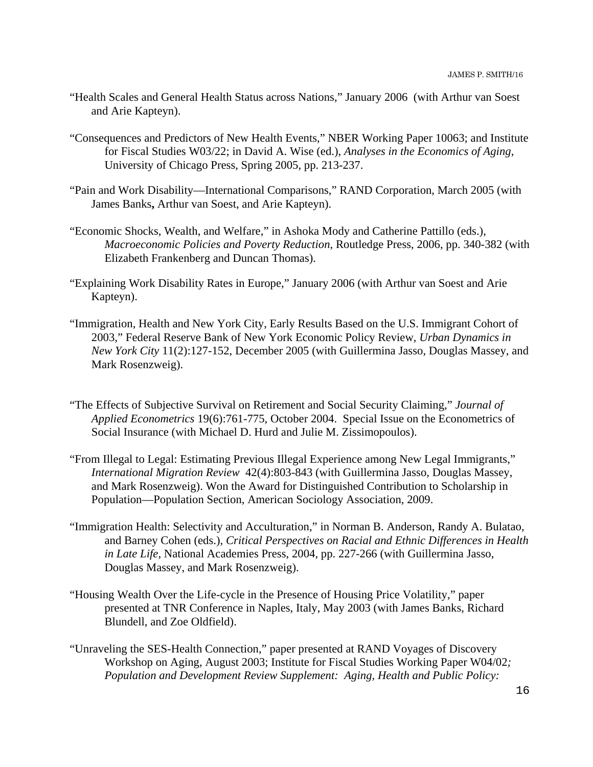- "Health Scales and General Health Status across Nations," January 2006 (with Arthur van Soest and Arie Kapteyn).
- "Consequences and Predictors of New Health Events," NBER Working Paper 10063; and Institute for Fiscal Studies W03/22; in David A. Wise (ed.), *Analyses in the Economics of Aging*, University of Chicago Press, Spring 2005, pp. 213-237.
- "Pain and Work Disability—International Comparisons," RAND Corporation, March 2005 (with James Banks**,** Arthur van Soest, and Arie Kapteyn).
- "Economic Shocks, Wealth, and Welfare," in Ashoka Mody and Catherine Pattillo (eds.), *Macroeconomic Policies and Poverty Reduction*, Routledge Press, 2006, pp. 340-382 (with Elizabeth Frankenberg and Duncan Thomas).
- "Explaining Work Disability Rates in Europe," January 2006 (with Arthur van Soest and Arie Kapteyn).
- "Immigration, Health and New York City, Early Results Based on the U.S. Immigrant Cohort of 2003," Federal Reserve Bank of New York Economic Policy Review, *Urban Dynamics in New York City* 11(2):127-152, December 2005 (with Guillermina Jasso, Douglas Massey, and Mark Rosenzweig).
- "The Effects of Subjective Survival on Retirement and Social Security Claiming," *Journal of Applied Econometrics* 19(6):761-775, October 2004. Special Issue on the Econometrics of Social Insurance (with Michael D. Hurd and Julie M. Zissimopoulos).
- "From Illegal to Legal: Estimating Previous Illegal Experience among New Legal Immigrants," *International Migration Review* 42(4):803-843 (with Guillermina Jasso, Douglas Massey, and Mark Rosenzweig). Won the Award for Distinguished Contribution to Scholarship in Population—Population Section, American Sociology Association, 2009.
- "Immigration Health: Selectivity and Acculturation," in Norman B. Anderson, Randy A. Bulatao, and Barney Cohen (eds.), *Critical Perspectives on Racial and Ethnic Differences in Health in Late Life*, National Academies Press, 2004, pp. 227-266 (with Guillermina Jasso, Douglas Massey, and Mark Rosenzweig).
- "Housing Wealth Over the Life-cycle in the Presence of Housing Price Volatility," paper presented at TNR Conference in Naples, Italy, May 2003 (with James Banks, Richard Blundell, and Zoe Oldfield).
- "Unraveling the SES-Health Connection," paper presented at RAND Voyages of Discovery Workshop on Aging, August 2003; Institute for Fiscal Studies Working Paper W04/02*; Population and Development Review Supplement: Aging, Health and Public Policy:*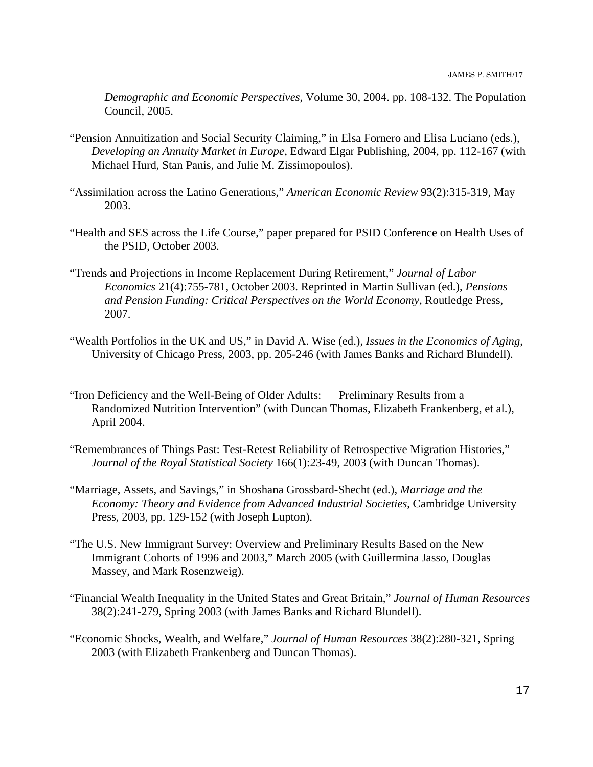*Demographic and Economic Perspectives*, Volume 30, 2004. pp. 108-132. The Population Council, 2005.

- "Pension Annuitization and Social Security Claiming," in Elsa Fornero and Elisa Luciano (eds.), *Developing an Annuity Market in Europe*, Edward Elgar Publishing, 2004, pp. 112-167 (with Michael Hurd, Stan Panis, and Julie M. Zissimopoulos).
- "Assimilation across the Latino Generations," *American Economic Review* 93(2):315-319, May 2003.
- "Health and SES across the Life Course," paper prepared for PSID Conference on Health Uses of the PSID, October 2003.
- "Trends and Projections in Income Replacement During Retirement," *Journal of Labor Economics* 21(4):755-781, October 2003. Reprinted in Martin Sullivan (ed.), *Pensions and Pension Funding: Critical Perspectives on the World Economy*, Routledge Press, 2007.
- "Wealth Portfolios in the UK and US," in David A. Wise (ed.), *Issues in the Economics of Aging*, University of Chicago Press, 2003, pp. 205-246 (with James Banks and Richard Blundell).
- "Iron Deficiency and the Well-Being of Older Adults: Preliminary Results from a Randomized Nutrition Intervention" (with Duncan Thomas, Elizabeth Frankenberg, et al.), April 2004.
- "Remembrances of Things Past: Test-Retest Reliability of Retrospective Migration Histories," *Journal of the Royal Statistical Society* 166(1):23-49, 2003 (with Duncan Thomas).
- "Marriage, Assets, and Savings," in Shoshana Grossbard-Shecht (ed.), *Marriage and the Economy: Theory and Evidence from Advanced Industrial Societies*, Cambridge University Press, 2003, pp. 129-152 (with Joseph Lupton).
- "The U.S. New Immigrant Survey: Overview and Preliminary Results Based on the New Immigrant Cohorts of 1996 and 2003," March 2005 (with Guillermina Jasso, Douglas Massey, and Mark Rosenzweig).
- "Financial Wealth Inequality in the United States and Great Britain," *Journal of Human Resources* 38(2):241-279, Spring 2003 (with James Banks and Richard Blundell).
- "Economic Shocks, Wealth, and Welfare," *Journal of Human Resources* 38(2):280-321, Spring 2003 (with Elizabeth Frankenberg and Duncan Thomas).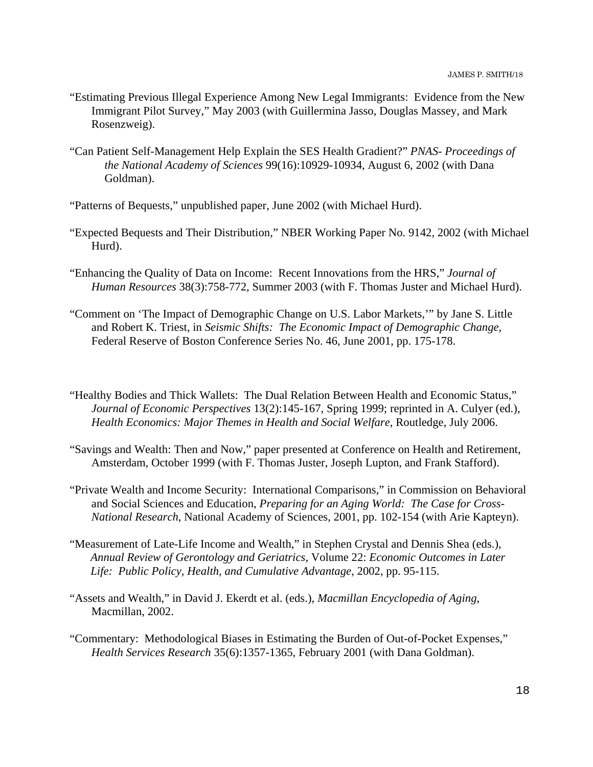- "Estimating Previous Illegal Experience Among New Legal Immigrants: Evidence from the New Immigrant Pilot Survey," May 2003 (with Guillermina Jasso, Douglas Massey, and Mark Rosenzweig).
- "Can Patient Self-Management Help Explain the SES Health Gradient?" *PNAS Proceedings of the National Academy of Sciences* 99(16):10929-10934, August 6, 2002 (with Dana Goldman).
- "Patterns of Bequests," unpublished paper, June 2002 (with Michael Hurd).
- "Expected Bequests and Their Distribution," NBER Working Paper No. 9142, 2002 (with Michael Hurd).
- "Enhancing the Quality of Data on Income: Recent Innovations from the HRS," *Journal of Human Resources* 38(3):758-772, Summer 2003 (with F. Thomas Juster and Michael Hurd).
- "Comment on 'The Impact of Demographic Change on U.S. Labor Markets,'" by Jane S. Little and Robert K. Triest, in *Seismic Shifts: The Economic Impact of Demographic Change*, Federal Reserve of Boston Conference Series No. 46, June 2001, pp. 175-178.
- "Healthy Bodies and Thick Wallets: The Dual Relation Between Health and Economic Status," *Journal of Economic Perspectives* 13(2):145-167, Spring 1999; reprinted in A. Culyer (ed.), *Health Economics: Major Themes in Health and Social Welfare*, Routledge, July 2006.
- "Savings and Wealth: Then and Now," paper presented at Conference on Health and Retirement, Amsterdam, October 1999 (with F. Thomas Juster, Joseph Lupton, and Frank Stafford).
- "Private Wealth and Income Security: International Comparisons," in Commission on Behavioral and Social Sciences and Education, *Preparing for an Aging World: The Case for Cross-National Research*, National Academy of Sciences, 2001, pp. 102-154 (with Arie Kapteyn).
- "Measurement of Late-Life Income and Wealth," in Stephen Crystal and Dennis Shea (eds.), *Annual Review of Gerontology and Geriatrics*, Volume 22: *Economic Outcomes in Later Life: Public Policy, Health, and Cumulative Advantage*, 2002, pp. 95-115.
- "Assets and Wealth," in David J. Ekerdt et al. (eds.), *Macmillan Encyclopedia of Aging*, Macmillan, 2002.
- "Commentary: Methodological Biases in Estimating the Burden of Out-of-Pocket Expenses," *Health Services Research* 35(6):1357-1365, February 2001 (with Dana Goldman).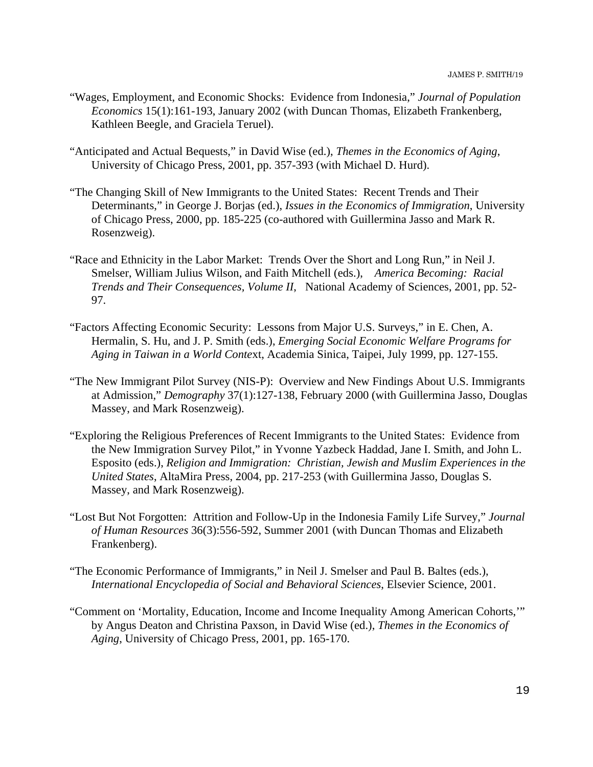- "Wages, Employment, and Economic Shocks: Evidence from Indonesia," *Journal of Population Economics* 15(1):161-193, January 2002 (with Duncan Thomas, Elizabeth Frankenberg, Kathleen Beegle, and Graciela Teruel).
- "Anticipated and Actual Bequests," in David Wise (ed.), *Themes in the Economics of Aging*, University of Chicago Press, 2001, pp. 357-393 (with Michael D. Hurd).
- "The Changing Skill of New Immigrants to the United States: Recent Trends and Their Determinants," in George J. Borjas (ed.), *Issues in the Economics of Immigration*, University of Chicago Press, 2000, pp. 185-225 (co-authored with Guillermina Jasso and Mark R. Rosenzweig).
- "Race and Ethnicity in the Labor Market: Trends Over the Short and Long Run," in Neil J. Smelser, William Julius Wilson, and Faith Mitchell (eds.), *America Becoming: Racial Trends and Their Consequences, Volume II*, National Academy of Sciences, 2001, pp. 52- 97.
- "Factors Affecting Economic Security: Lessons from Major U.S. Surveys," in E. Chen, A. Hermalin, S. Hu, and J. P. Smith (eds.), *Emerging Social Economic Welfare Programs for Aging in Taiwan in a World Conte*xt, Academia Sinica, Taipei, July 1999, pp. 127-155.
- "The New Immigrant Pilot Survey (NIS-P): Overview and New Findings About U.S. Immigrants at Admission," *Demography* 37(1):127-138, February 2000 (with Guillermina Jasso, Douglas Massey, and Mark Rosenzweig).
- "Exploring the Religious Preferences of Recent Immigrants to the United States: Evidence from the New Immigration Survey Pilot," in Yvonne Yazbeck Haddad, Jane I. Smith, and John L. Esposito (eds.), *Religion and Immigration: Christian, Jewish and Muslim Experiences in the United States*, AltaMira Press, 2004, pp. 217-253 (with Guillermina Jasso, Douglas S. Massey, and Mark Rosenzweig).
- "Lost But Not Forgotten: Attrition and Follow-Up in the Indonesia Family Life Survey," *Journal of Human Resources* 36(3):556-592, Summer 2001 (with Duncan Thomas and Elizabeth Frankenberg).
- "The Economic Performance of Immigrants," in Neil J. Smelser and Paul B. Baltes (eds.), *International Encyclopedia of Social and Behavioral Sciences*, Elsevier Science, 2001.
- "Comment on 'Mortality, Education, Income and Income Inequality Among American Cohorts,'" by Angus Deaton and Christina Paxson, in David Wise (ed.), *Themes in the Economics of Aging*, University of Chicago Press, 2001, pp. 165-170.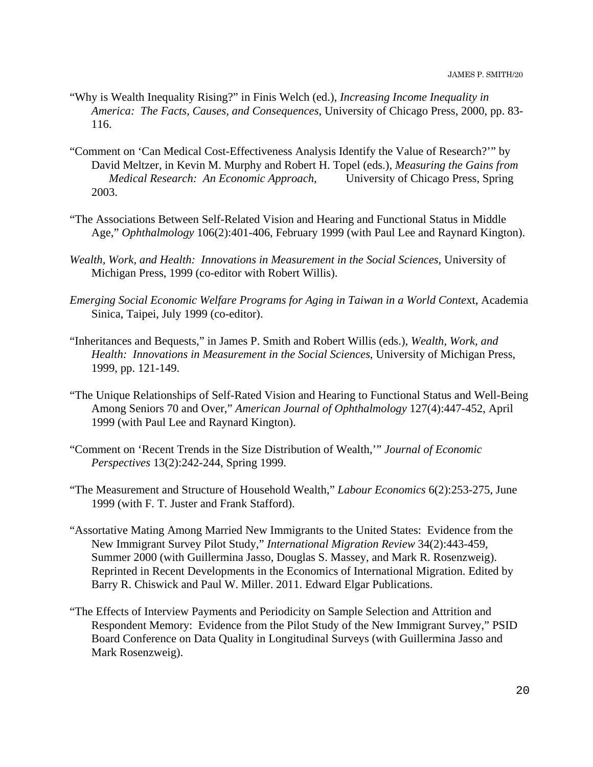- "Why is Wealth Inequality Rising?" in Finis Welch (ed.), *Increasing Income Inequality in America: The Facts, Causes, and Consequences*, University of Chicago Press, 2000, pp. 83- 116.
- "Comment on 'Can Medical Cost-Effectiveness Analysis Identify the Value of Research?'" by David Meltzer, in Kevin M. Murphy and Robert H. Topel (eds.), *Measuring the Gains from Medical Research: An Economic Approach*, University of Chicago Press, Spring 2003.
- "The Associations Between Self-Related Vision and Hearing and Functional Status in Middle Age," *Ophthalmology* 106(2):401-406, February 1999 (with Paul Lee and Raynard Kington).
- *Wealth, Work, and Health: Innovations in Measurement in the Social Sciences*, University of Michigan Press, 1999 (co-editor with Robert Willis).
- *Emerging Social Economic Welfare Programs for Aging in Taiwan in a World Conte*xt, Academia Sinica, Taipei, July 1999 (co-editor).
- "Inheritances and Bequests," in James P. Smith and Robert Willis (eds.), *Wealth, Work, and Health: Innovations in Measurement in the Social Sciences*, University of Michigan Press, 1999, pp. 121-149.
- "The Unique Relationships of Self-Rated Vision and Hearing to Functional Status and Well-Being Among Seniors 70 and Over," *American Journal of Ophthalmology* 127(4):447-452, April 1999 (with Paul Lee and Raynard Kington).
- "Comment on 'Recent Trends in the Size Distribution of Wealth,'" *Journal of Economic Perspectives* 13(2):242-244, Spring 1999.
- "The Measurement and Structure of Household Wealth," *Labour Economics* 6(2):253-275, June 1999 (with F. T. Juster and Frank Stafford).
- "Assortative Mating Among Married New Immigrants to the United States: Evidence from the New Immigrant Survey Pilot Study," *International Migration Review* 34(2):443-459, Summer 2000 (with Guillermina Jasso, Douglas S. Massey, and Mark R. Rosenzweig). Reprinted in Recent Developments in the Economics of International Migration. Edited by Barry R. Chiswick and Paul W. Miller. 2011. Edward Elgar Publications.
- "The Effects of Interview Payments and Periodicity on Sample Selection and Attrition and Respondent Memory: Evidence from the Pilot Study of the New Immigrant Survey," PSID Board Conference on Data Quality in Longitudinal Surveys (with Guillermina Jasso and Mark Rosenzweig).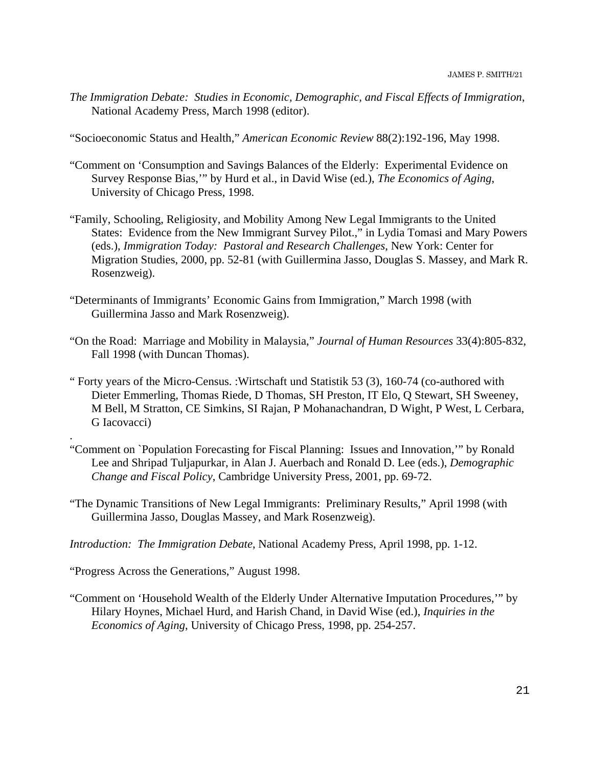*The Immigration Debate: Studies in Economic, Demographic, and Fiscal Effects of Immigration*, National Academy Press, March 1998 (editor).

"Socioeconomic Status and Health," *American Economic Review* 88(2):192-196, May 1998.

- "Comment on 'Consumption and Savings Balances of the Elderly: Experimental Evidence on Survey Response Bias,'" by Hurd et al., in David Wise (ed.), *The Economics of Aging*, University of Chicago Press, 1998.
- "Family, Schooling, Religiosity, and Mobility Among New Legal Immigrants to the United States: Evidence from the New Immigrant Survey Pilot.," in Lydia Tomasi and Mary Powers (eds.), *Immigration Today: Pastoral and Research Challenges*, New York: Center for Migration Studies, 2000, pp. 52-81 (with Guillermina Jasso, Douglas S. Massey, and Mark R. Rosenzweig).
- "Determinants of Immigrants' Economic Gains from Immigration," March 1998 (with Guillermina Jasso and Mark Rosenzweig).
- "On the Road: Marriage and Mobility in Malaysia," *Journal of Human Resources* 33(4):805-832, Fall 1998 (with Duncan Thomas).
- " Forty years of the Micro-Census. :Wirtschaft und Statistik 53 (3), 160-74 (co-authored with Dieter Emmerling, Thomas Riede, D Thomas, SH Preston, IT Elo, Q Stewart, SH Sweeney, M Bell, M Stratton, CE Simkins, SI Rajan, P Mohanachandran, D Wight, P West, L Cerbara, G Iacovacci)
- "Comment on `Population Forecasting for Fiscal Planning: Issues and Innovation,'" by Ronald Lee and Shripad Tuljapurkar, in Alan J. Auerbach and Ronald D. Lee (eds.), *Demo*g*raphic Change and Fiscal Policy*, Cambridge University Press, 2001, pp. 69-72.
- "The Dynamic Transitions of New Legal Immigrants: Preliminary Results," April 1998 (with Guillermina Jasso, Douglas Massey, and Mark Rosenzweig).

*Introduction: The Immigration Debate*, National Academy Press, April 1998, pp. 1-12.

"Progress Across the Generations," August 1998.

.

"Comment on 'Household Wealth of the Elderly Under Alternative Imputation Procedures,'" by Hilary Hoynes, Michael Hurd, and Harish Chand, in David Wise (ed.), *Inquiries in the Economics of Aging*, University of Chicago Press, 1998, pp. 254-257.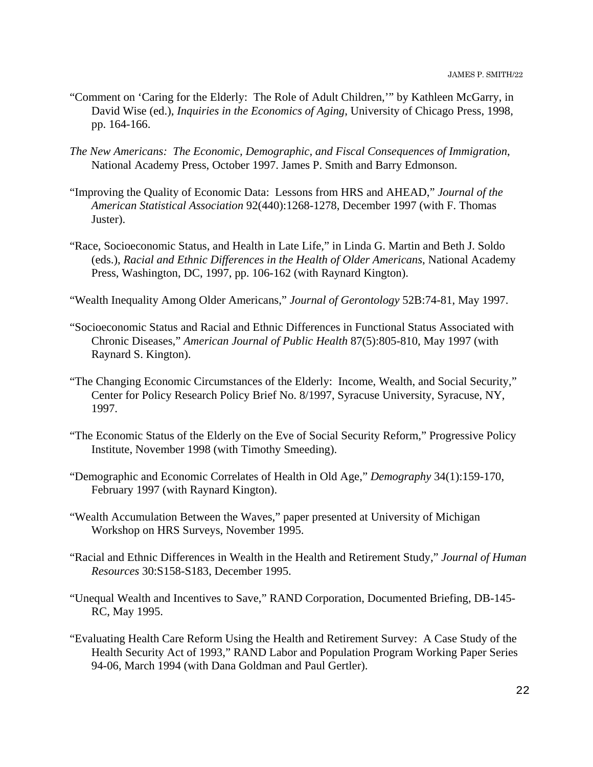- "Comment on 'Caring for the Elderly: The Role of Adult Children,'" by Kathleen McGarry, in David Wise (ed.), *Inquiries in the Economics of Aging*, University of Chicago Press, 1998, pp. 164-166.
- *The New Americans: The Economic, Demographic, and Fiscal Consequences of Immigration*, National Academy Press, October 1997. James P. Smith and Barry Edmonson.
- "Improving the Quality of Economic Data: Lessons from HRS and AHEAD," *Journal of the American Statistical Association* 92(440):1268-1278, December 1997 (with F. Thomas Juster).
- "Race, Socioeconomic Status, and Health in Late Life," in Linda G. Martin and Beth J. Soldo (eds.), *Racial and Ethnic Differences in the Health of Older Americans*, National Academy Press, Washington, DC, 1997, pp. 106-162 (with Raynard Kington).
- "Wealth Inequality Among Older Americans," *Journal of Gerontology* 52B:74-81, May 1997.
- "Socioeconomic Status and Racial and Ethnic Differences in Functional Status Associated with Chronic Diseases," *American Journal of Public Health* 87(5):805-810, May 1997 (with Raynard S. Kington).
- "The Changing Economic Circumstances of the Elderly: Income, Wealth, and Social Security," Center for Policy Research Policy Brief No. 8/1997, Syracuse University, Syracuse, NY, 1997.
- "The Economic Status of the Elderly on the Eve of Social Security Reform," Progressive Policy Institute, November 1998 (with Timothy Smeeding).
- "Demographic and Economic Correlates of Health in Old Age," *Demography* 34(1):159-170, February 1997 (with Raynard Kington).
- "Wealth Accumulation Between the Waves," paper presented at University of Michigan Workshop on HRS Surveys, November 1995.
- "Racial and Ethnic Differences in Wealth in the Health and Retirement Study," *Journal of Human Resources* 30:S158-S183, December 1995.
- "Unequal Wealth and Incentives to Save," RAND Corporation, Documented Briefing, DB-145- RC, May 1995.
- "Evaluating Health Care Reform Using the Health and Retirement Survey: A Case Study of the Health Security Act of 1993," RAND Labor and Population Program Working Paper Series 94-06, March 1994 (with Dana Goldman and Paul Gertler).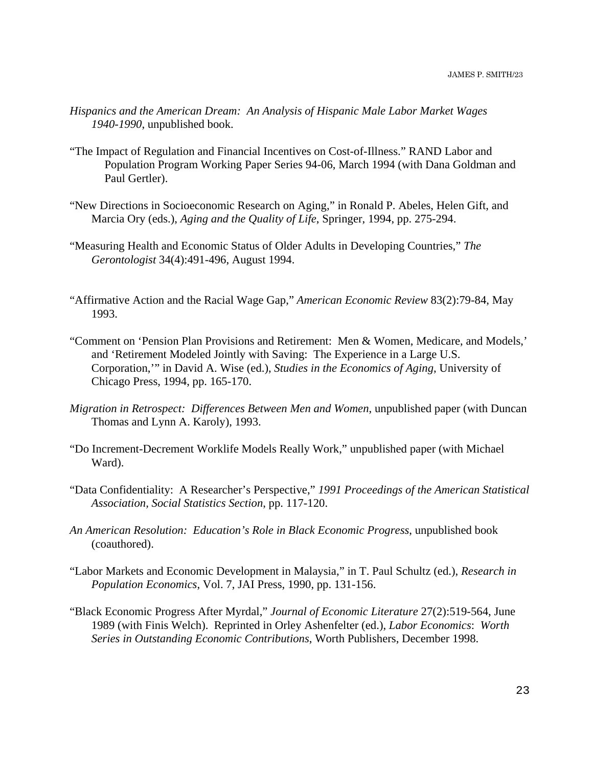- *Hispanics and the American Dream: An Analysis of Hispanic Male Labor Market Wages 1940-1990*, unpublished book.
- "The Impact of Regulation and Financial Incentives on Cost-of-Illness." RAND Labor and Population Program Working Paper Series 94-06, March 1994 (with Dana Goldman and Paul Gertler).
- "New Directions in Socioeconomic Research on Aging," in Ronald P. Abeles, Helen Gift, and Marcia Ory (eds.), *Aging and the Quality of Life*, Springer, 1994, pp. 275-294.
- "Measuring Health and Economic Status of Older Adults in Developing Countries," *The Gerontologist* 34(4):491-496, August 1994.
- "Affirmative Action and the Racial Wage Gap," *American Economic Review* 83(2):79-84, May 1993.
- "Comment on 'Pension Plan Provisions and Retirement: Men & Women, Medicare, and Models,' and 'Retirement Modeled Jointly with Saving: The Experience in a Large U.S. Corporation,'" in David A. Wise (ed.), *Studies in the Economics of Aging*, University of Chicago Press, 1994, pp. 165-170.
- *Migration in Retrospect: Differences Between Men and Women*, unpublished paper (with Duncan Thomas and Lynn A. Karoly), 1993.
- "Do Increment-Decrement Worklife Models Really Work," unpublished paper (with Michael Ward).
- "Data Confidentiality: A Researcher's Perspective," *1991 Proceedings of the American Statistical Association, Social Statistics Section*, pp. 117-120.
- *An American Resolution: Education's Role in Black Economic Progress*, unpublished book (coauthored).
- "Labor Markets and Economic Development in Malaysia," in T. Paul Schultz (ed.), *Research in Population Economics*, Vol. 7, JAI Press, 1990, pp. 131-156.
- "Black Economic Progress After Myrdal," *Journal of Economic Literature* 27(2):519-564, June 1989 (with Finis Welch). Reprinted in Orley Ashenfelter (ed.), *Labor Economics*: *Worth Series in Outstanding Economic Contributions*, Worth Publishers, December 1998.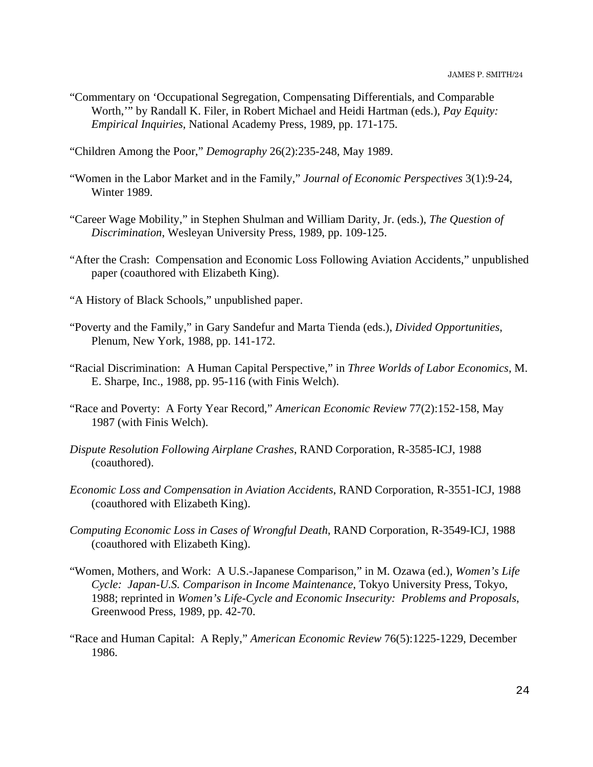"Commentary on 'Occupational Segregation, Compensating Differentials, and Comparable Worth,'" by Randall K. Filer, in Robert Michael and Heidi Hartman (eds.), *Pay Equity: Empirical Inquiries*, National Academy Press, 1989, pp. 171-175.

"Children Among the Poor," *Demography* 26(2):235-248, May 1989.

- "Women in the Labor Market and in the Family," *Journal of Economic Perspectives* 3(1):9-24, Winter 1989.
- "Career Wage Mobility," in Stephen Shulman and William Darity, Jr. (eds.), *The Question of Discrimination*, Wesleyan University Press, 1989, pp. 109-125.
- "After the Crash: Compensation and Economic Loss Following Aviation Accidents," unpublished paper (coauthored with Elizabeth King).
- "A History of Black Schools," unpublished paper.
- "Poverty and the Family," in Gary Sandefur and Marta Tienda (eds.), *Divided Opportunities*, Plenum, New York, 1988, pp. 141-172.
- "Racial Discrimination: A Human Capital Perspective," in *Three Worlds of Labor Economics*, M. E. Sharpe, Inc., 1988, pp. 95-116 (with Finis Welch).
- "Race and Poverty: A Forty Year Record," *American Economic Review* 77(2):152-158, May 1987 (with Finis Welch).
- *Dispute Resolution Following Airplane Crashes*, RAND Corporation, R-3585-ICJ, 1988 (coauthored).
- *Economic Loss and Compensation in Aviation Accidents*, RAND Corporation, R-3551-ICJ, 1988 (coauthored with Elizabeth King).
- *Computing Economic Loss in Cases of Wrongful Death*, RAND Corporation, R-3549-ICJ, 1988 (coauthored with Elizabeth King).
- "Women, Mothers, and Work: A U.S.-Japanese Comparison," in M. Ozawa (ed.), *Women's Life Cycle: Japan-U.S. Comparison in Income Maintenance*, Tokyo University Press, Tokyo, 1988; reprinted in *Women's Life-Cycle and Economic Insecurity: Problems and Proposals*, Greenwood Press, 1989, pp. 42-70.
- "Race and Human Capital: A Reply," *American Economic Review* 76(5):1225-1229, December 1986.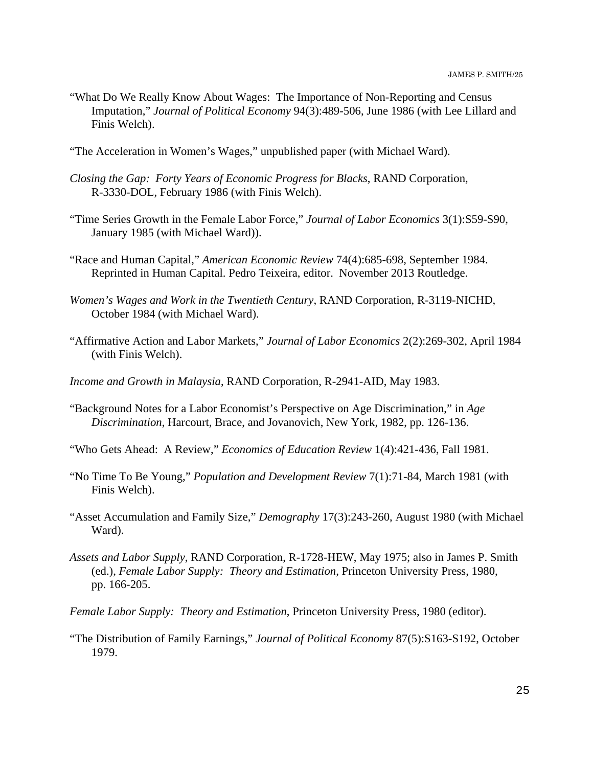- "What Do We Really Know About Wages: The Importance of Non-Reporting and Census Imputation," *Journal of Political Economy* 94(3):489-506, June 1986 (with Lee Lillard and Finis Welch).
- "The Acceleration in Women's Wages," unpublished paper (with Michael Ward).
- *Closing the Gap: Forty Years of Economic Progress for Blacks*, RAND Corporation, R-3330-DOL, February 1986 (with Finis Welch).
- "Time Series Growth in the Female Labor Force," *Journal of Labor Economics* 3(1):S59-S90, January 1985 (with Michael Ward)).
- "Race and Human Capital," *American Economic Review* 74(4):685-698, September 1984. Reprinted in Human Capital. Pedro Teixeira, editor. November 2013 Routledge.
- *Women's Wages and Work in the Twentieth Century*, RAND Corporation, R-3119-NICHD, October 1984 (with Michael Ward).
- "Affirmative Action and Labor Markets," *Journal of Labor Economics* 2(2):269-302, April 1984 (with Finis Welch).
- *Income and Growth in Malaysia*, RAND Corporation, R-2941-AID, May 1983.
- "Background Notes for a Labor Economist's Perspective on Age Discrimination," in *Age Discrimination*, Harcourt, Brace, and Jovanovich, New York, 1982, pp. 126-136.
- "Who Gets Ahead: A Review," *Economics of Education Review* 1(4):421-436, Fall 1981.
- "No Time To Be Young," *Population and Development Review* 7(1):71-84, March 1981 (with Finis Welch).
- "Asset Accumulation and Family Size," *Demography* 17(3):243-260, August 1980 (with Michael Ward).
- *Assets and Labor Supply*, RAND Corporation, R-1728-HEW, May 1975; also in James P. Smith (ed.), *Female Labor Supply: Theory and Estimation*, Princeton University Press, 1980, pp. 166-205.
- *Female Labor Supply: Theory and Estimation*, Princeton University Press, 1980 (editor).
- "The Distribution of Family Earnings," *Journal of Political Economy* 87(5):S163-S192, October 1979.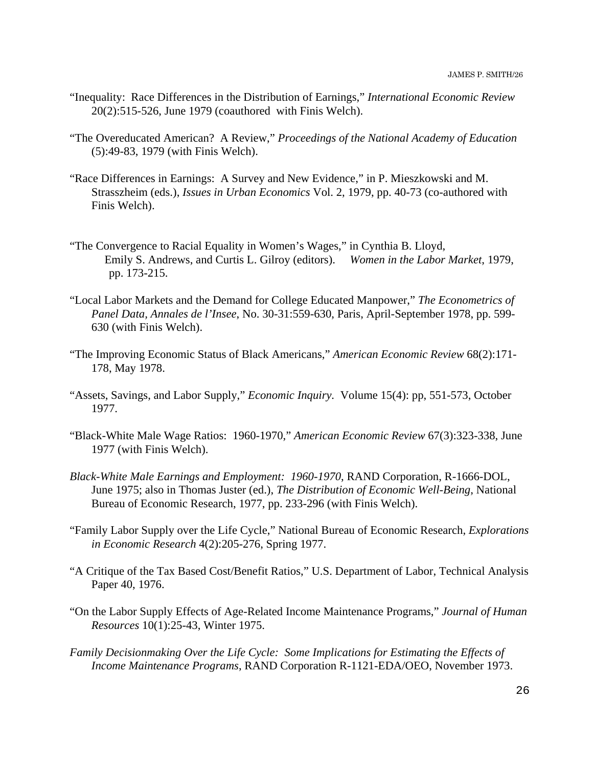- "Inequality: Race Differences in the Distribution of Earnings," *International Economic Review* 20(2):515-526, June 1979 (coauthored with Finis Welch).
- "The Overeducated American? A Review," *Proceedings of the National Academy of Education* (5):49-83, 1979 (with Finis Welch).
- "Race Differences in Earnings: A Survey and New Evidence," in P. Mieszkowski and M. Strasszheim (eds.), *Issues in Urban Economics* Vol. 2, 1979, pp. 40-73 (co-authored with Finis Welch).
- "The Convergence to Racial Equality in Women's Wages," in Cynthia B. Lloyd, Emily S. Andrews, and Curtis L. Gilroy (editors). *Women in the Labor Market*, 1979, pp. 173-215.
- "Local Labor Markets and the Demand for College Educated Manpower," *The Econometrics of Panel Data, Annales de l'Insee*, No. 30-31:559-630, Paris, April-September 1978, pp. 599- 630 (with Finis Welch).
- "The Improving Economic Status of Black Americans," *American Economic Review* 68(2):171- 178, May 1978.
- "Assets, Savings, and Labor Supply," *Economic Inquiry.* Volume 15(4): pp, 551-573, October 1977.
- "Black-White Male Wage Ratios: 1960-1970," *American Economic Review* 67(3):323-338, June 1977 (with Finis Welch).
- *Black-White Male Earnings and Employment: 1960-1970*, RAND Corporation, R-1666-DOL, June 1975; also in Thomas Juster (ed.), *The Distribution of Economic Well-Being*, National Bureau of Economic Research, 1977, pp. 233-296 (with Finis Welch).
- "Family Labor Supply over the Life Cycle," National Bureau of Economic Research, *Explorations in Economic Research* 4(2):205-276, Spring 1977.
- "A Critique of the Tax Based Cost/Benefit Ratios," U.S. Department of Labor, Technical Analysis Paper 40, 1976.
- "On the Labor Supply Effects of Age-Related Income Maintenance Programs," *Journal of Human Resources* 10(1):25-43, Winter 1975.
- *Family Decisionmaking Over the Life Cycle: Some Implications for Estimating the Effects of Income Maintenance Programs*, RAND Corporation R-1121-EDA/OEO, November 1973.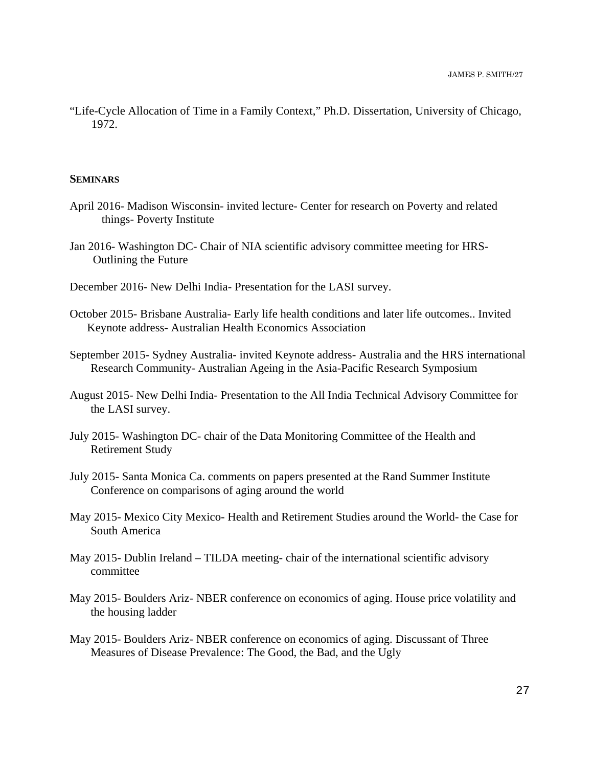"Life-Cycle Allocation of Time in a Family Context," Ph.D. Dissertation, University of Chicago, 1972.

#### **SEMINARS**

- April 2016- Madison Wisconsin- invited lecture- Center for research on Poverty and related things- Poverty Institute
- Jan 2016- Washington DC- Chair of NIA scientific advisory committee meeting for HRS- Outlining the Future

December 2016- New Delhi India- Presentation for the LASI survey.

- October 2015- Brisbane Australia- Early life health conditions and later life outcomes.. Invited Keynote address- Australian Health Economics Association
- September 2015- Sydney Australia- invited Keynote address- Australia and the HRS international Research Community- Australian Ageing in the Asia-Pacific Research Symposium
- August 2015- New Delhi India- Presentation to the All India Technical Advisory Committee for the LASI survey.
- July 2015- Washington DC- chair of the Data Monitoring Committee of the Health and Retirement Study
- July 2015- Santa Monica Ca. comments on papers presented at the Rand Summer Institute Conference on comparisons of aging around the world
- May 2015- Mexico City Mexico- Health and Retirement Studies around the World- the Case for South America
- May 2015- Dublin Ireland TILDA meeting- chair of the international scientific advisory committee
- May 2015- Boulders Ariz- NBER conference on economics of aging. House price volatility and the housing ladder
- May 2015- Boulders Ariz- NBER conference on economics of aging. Discussant of Three Measures of Disease Prevalence: The Good, the Bad, and the Ugly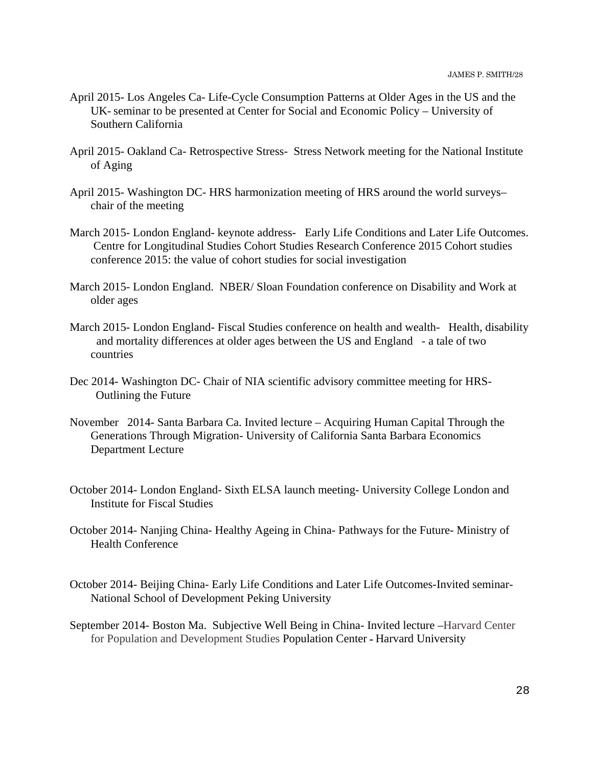- April 2015- Los Angeles Ca- Life-Cycle Consumption Patterns at Older Ages in the US and the UK- seminar to be presented at Center for Social and Economic Policy – University of Southern California
- April 2015- Oakland Ca- Retrospective Stress- Stress Network meeting for the National Institute of Aging
- April 2015- Washington DC- HRS harmonization meeting of HRS around the world surveys– chair of the meeting
- March 2015- London England- keynote address- Early Life Conditions and Later Life Outcomes. Centre for Longitudinal Studies Cohort Studies Research Conference 2015 Cohort studies conference 2015: the value of cohort studies for social investigation
- March 2015- London England. NBER/ Sloan Foundation conference on Disability and Work at older ages
- March 2015- London England- Fiscal Studies conference on health and wealth- Health, disability and mortality differences at older ages between the US and England - a tale of two countries
- Dec 2014- Washington DC- Chair of NIA scientific advisory committee meeting for HRS- Outlining the Future
- November 2014- Santa Barbara Ca. Invited lecture Acquiring Human Capital Through the Generations Through Migration- University of California Santa Barbara Economics Department Lecture
- October 2014- London England- Sixth ELSA launch meeting- University College London and Institute for Fiscal Studies
- October 2014- Nanjing China- Healthy Ageing in China- Pathways for the Future- Ministry of Health Conference
- October 2014- Beijing China- Early Life Conditions and Later Life Outcomes-Invited seminar-National School of Development Peking University
- September 2014- Boston Ma. Subjective Well Being in China- Invited lecture –Harvard Center for Population and Development Studies Population Center **-** Harvard University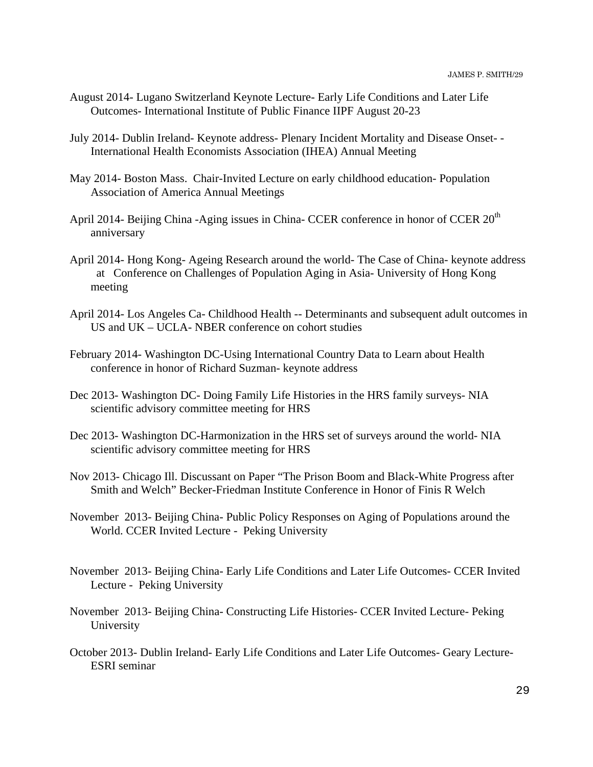- August 2014- Lugano Switzerland Keynote Lecture- Early Life Conditions and Later Life Outcomes- International Institute of Public Finance IIPF August 20-23
- July 2014- Dublin Ireland- Keynote address- Plenary Incident Mortality and Disease Onset- International Health Economists Association (IHEA) Annual Meeting
- May 2014- Boston Mass. Chair-Invited Lecture on early childhood education- Population Association of America Annual Meetings
- April 2014- Beijing China -Aging issues in China- CCER conference in honor of CCER 20<sup>th</sup> anniversary
- April 2014- Hong Kong- Ageing Research around the world- The Case of China- keynote address at Conference on Challenges of Population Aging in Asia- University of Hong Kong meeting
- April 2014- Los Angeles Ca- Childhood Health -- Determinants and subsequent adult outcomes in US and UK – UCLA- NBER conference on cohort studies
- February 2014- Washington DC-Using International Country Data to Learn about Health conference in honor of Richard Suzman- keynote address
- Dec 2013- Washington DC- Doing Family Life Histories in the HRS family surveys- NIA scientific advisory committee meeting for HRS
- Dec 2013- Washington DC-Harmonization in the HRS set of surveys around the world- NIA scientific advisory committee meeting for HRS
- Nov 2013- Chicago Ill. Discussant on Paper "The Prison Boom and Black-White Progress after Smith and Welch" Becker-Friedman Institute Conference in Honor of Finis R Welch
- November 2013- Beijing China- Public Policy Responses on Aging of Populations around the World. CCER Invited Lecture - Peking University
- November 2013- Beijing China- Early Life Conditions and Later Life Outcomes- CCER Invited Lecture - Peking University
- November 2013- Beijing China- Constructing Life Histories- CCER Invited Lecture- Peking University
- October 2013- Dublin Ireland- Early Life Conditions and Later Life Outcomes- Geary Lecture-ESRI seminar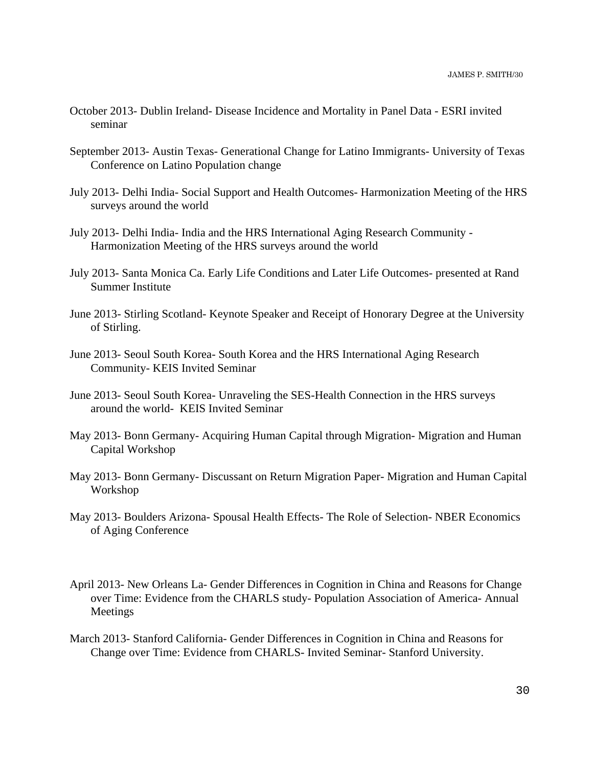- October 2013- Dublin Ireland- Disease Incidence and Mortality in Panel Data ESRI invited seminar
- September 2013- Austin Texas- Generational Change for Latino Immigrants- University of Texas Conference on Latino Population change
- July 2013- Delhi India- Social Support and Health Outcomes- Harmonization Meeting of the HRS surveys around the world
- July 2013- Delhi India- India and the HRS International Aging Research Community Harmonization Meeting of the HRS surveys around the world
- July 2013- Santa Monica Ca. Early Life Conditions and Later Life Outcomes- presented at Rand Summer Institute
- June 2013- Stirling Scotland- Keynote Speaker and Receipt of Honorary Degree at the University of Stirling.
- June 2013- Seoul South Korea- South Korea and the HRS International Aging Research Community- KEIS Invited Seminar
- June 2013- Seoul South Korea- Unraveling the SES-Health Connection in the HRS surveys around the world- KEIS Invited Seminar
- May 2013- Bonn Germany- Acquiring Human Capital through Migration- Migration and Human Capital Workshop
- May 2013- Bonn Germany- Discussant on Return Migration Paper- Migration and Human Capital Workshop
- May 2013- Boulders Arizona- Spousal Health Effects- The Role of Selection- NBER Economics of Aging Conference
- April 2013- New Orleans La- Gender Differences in Cognition in China and Reasons for Change over Time: Evidence from the CHARLS study- Population Association of America- Annual Meetings
- March 2013- Stanford California- Gender Differences in Cognition in China and Reasons for Change over Time: Evidence from CHARLS- Invited Seminar- Stanford University.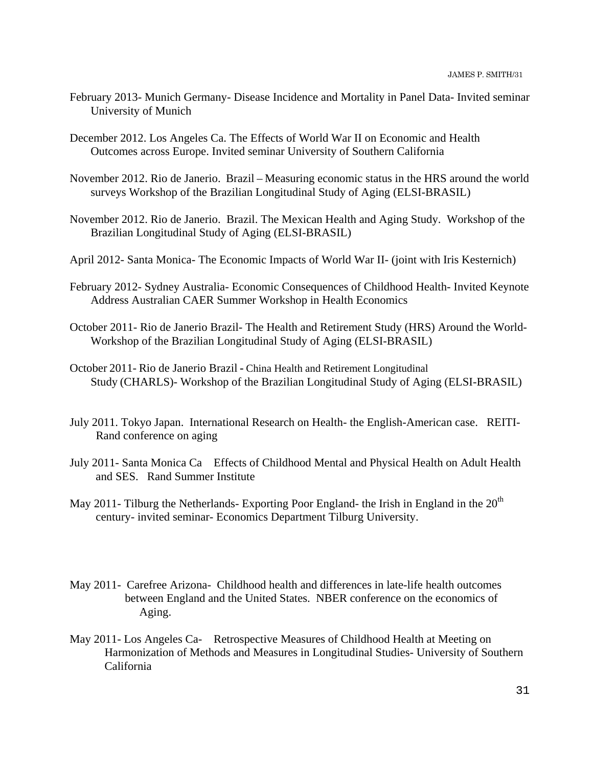- February 2013- Munich Germany- Disease Incidence and Mortality in Panel Data- Invited seminar University of Munich
- December 2012. Los Angeles Ca. The Effects of World War II on Economic and Health Outcomes across Europe. Invited seminar University of Southern California
- November 2012. Rio de Janerio. Brazil Measuring economic status in the HRS around the world surveys Workshop of the Brazilian Longitudinal Study of Aging (ELSI-BRASIL)
- November 2012. Rio de Janerio. Brazil. The Mexican Health and Aging Study. Workshop of the Brazilian Longitudinal Study of Aging (ELSI-BRASIL)
- April 2012- Santa Monica- The Economic Impacts of World War II- (joint with Iris Kesternich)
- February 2012- Sydney Australia- Economic Consequences of Childhood Health- Invited Keynote Address Australian CAER Summer Workshop in Health Economics
- October 2011- Rio de Janerio Brazil- The Health and Retirement Study (HRS) Around the World-Workshop of the Brazilian Longitudinal Study of Aging (ELSI-BRASIL)
- October 2011- Rio de Janerio Brazil **-** China Health and Retirement Longitudinal Study (CHARLS)- Workshop of the Brazilian Longitudinal Study of Aging (ELSI-BRASIL)
- July 2011. Tokyo Japan. International Research on Health- the English-American case. REITI-Rand conference on aging
- July 2011- Santa Monica Ca Effects of Childhood Mental and Physical Health on Adult Health and SES. Rand Summer Institute
- May 2011- Tilburg the Netherlands- Exporting Poor England- the Irish in England in the  $20<sup>th</sup>$ century- invited seminar- Economics Department Tilburg University.
- May 2011- Carefree Arizona- Childhood health and differences in late-life health outcomes between England and the United States. NBER conference on the economics of Aging.
- May 2011- Los Angeles Ca- Retrospective Measures of Childhood Health at Meeting on Harmonization of Methods and Measures in Longitudinal Studies- University of Southern California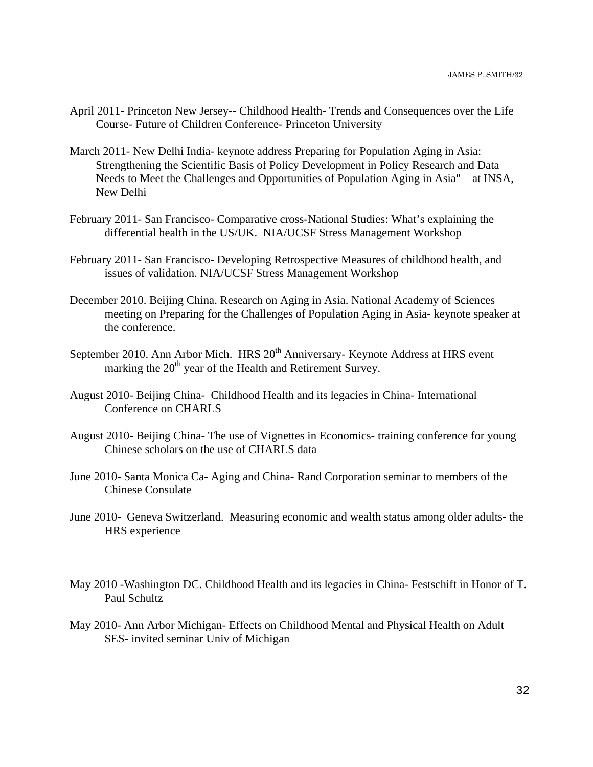- April 2011- Princeton New Jersey-- Childhood Health- Trends and Consequences over the Life Course- Future of Children Conference- Princeton University
- March 2011- New Delhi India- keynote address Preparing for Population Aging in Asia: Strengthening the Scientific Basis of Policy Development in Policy Research and Data Needs to Meet the Challenges and Opportunities of Population Aging in Asia" at INSA, New Delhi
- February 2011- San Francisco- Comparative cross-National Studies: What's explaining the differential health in the US/UK. NIA/UCSF Stress Management Workshop
- February 2011- San Francisco- Developing Retrospective Measures of childhood health, and issues of validation. NIA/UCSF Stress Management Workshop
- December 2010. Beijing China. Research on Aging in Asia. National Academy of Sciences meeting on Preparing for the Challenges of Population Aging in Asia- keynote speaker at the conference.
- September 2010. Ann Arbor Mich. HRS 20<sup>th</sup> Anniversary- Keynote Address at HRS event marking the 20<sup>th</sup> year of the Health and Retirement Survey.
- August 2010- Beijing China- Childhood Health and its legacies in China- International Conference on CHARLS
- August 2010- Beijing China- The use of Vignettes in Economics- training conference for young Chinese scholars on the use of CHARLS data
- June 2010- Santa Monica Ca- Aging and China- Rand Corporation seminar to members of the Chinese Consulate
- June 2010- Geneva Switzerland. Measuring economic and wealth status among older adults- the HRS experience
- May 2010 -Washington DC. Childhood Health and its legacies in China- Festschift in Honor of T. Paul Schultz
- May 2010- Ann Arbor Michigan- Effects on Childhood Mental and Physical Health on Adult SES- invited seminar Univ of Michigan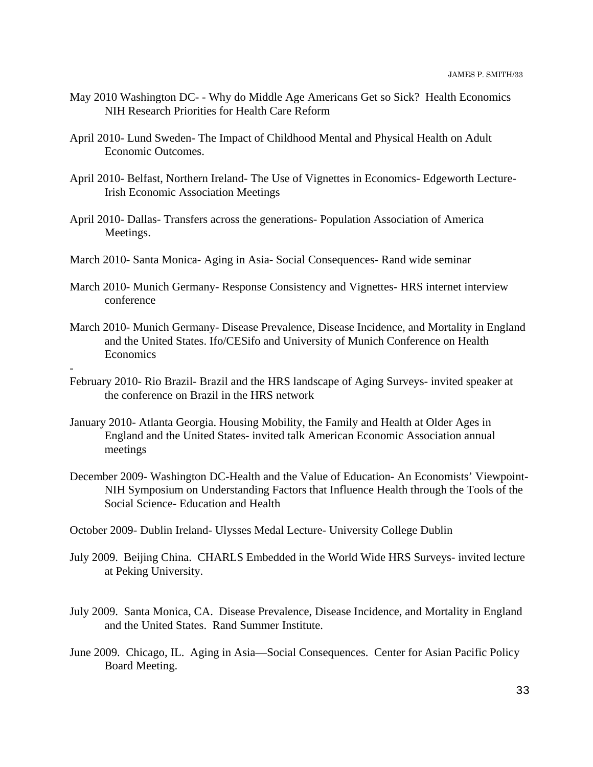- May 2010 Washington DC- Why do Middle Age Americans Get so Sick? Health Economics NIH Research Priorities for Health Care Reform
- April 2010- Lund Sweden- The Impact of Childhood Mental and Physical Health on Adult Economic Outcomes.
- April 2010- Belfast, Northern Ireland- The Use of Vignettes in Economics- Edgeworth Lecture-Irish Economic Association Meetings
- April 2010- Dallas- Transfers across the generations- Population Association of America Meetings.
- March 2010- Santa Monica- Aging in Asia- Social Consequences- Rand wide seminar

-

- March 2010- Munich Germany- Response Consistency and Vignettes- HRS internet interview conference
- March 2010- Munich Germany- Disease Prevalence, Disease Incidence, and Mortality in England and the United States. Ifo/CESifo and University of Munich Conference on Health Economics
- February 2010- Rio Brazil- Brazil and the HRS landscape of Aging Surveys- invited speaker at the conference on Brazil in the HRS network
- January 2010- Atlanta Georgia. Housing Mobility, the Family and Health at Older Ages in England and the United States- invited talk American Economic Association annual meetings
- December 2009- Washington DC-Health and the Value of Education- An Economists' Viewpoint-NIH Symposium on Understanding Factors that Influence Health through the Tools of the Social Science- Education and Health
- October 2009- Dublin Ireland- Ulysses Medal Lecture- University College Dublin
- July 2009. Beijing China. CHARLS Embedded in the World Wide HRS Surveys- invited lecture at Peking University.
- July 2009. Santa Monica, CA. Disease Prevalence, Disease Incidence, and Mortality in England and the United States. Rand Summer Institute.
- June 2009. Chicago, IL. Aging in Asia—Social Consequences. Center for Asian Pacific Policy Board Meeting.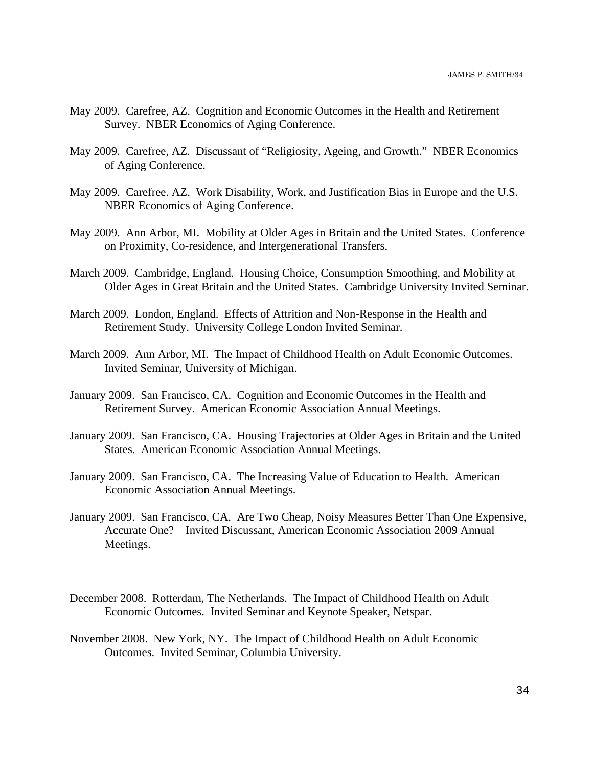- May 2009. Carefree, AZ. Cognition and Economic Outcomes in the Health and Retirement Survey. NBER Economics of Aging Conference.
- May 2009. Carefree, AZ. Discussant of "Religiosity, Ageing, and Growth." NBER Economics of Aging Conference.
- May 2009. Carefree. AZ. Work Disability, Work, and Justification Bias in Europe and the U.S. NBER Economics of Aging Conference.
- May 2009. Ann Arbor, MI. Mobility at Older Ages in Britain and the United States. Conference on Proximity, Co-residence, and Intergenerational Transfers.
- March 2009. Cambridge, England. Housing Choice, Consumption Smoothing, and Mobility at Older Ages in Great Britain and the United States. Cambridge University Invited Seminar.
- March 2009. London, England. Effects of Attrition and Non-Response in the Health and Retirement Study. University College London Invited Seminar.
- March 2009. Ann Arbor, MI. The Impact of Childhood Health on Adult Economic Outcomes. Invited Seminar, University of Michigan.
- January 2009. San Francisco, CA. Cognition and Economic Outcomes in the Health and Retirement Survey. American Economic Association Annual Meetings.
- January 2009. San Francisco, CA. Housing Trajectories at Older Ages in Britain and the United States. American Economic Association Annual Meetings.
- January 2009. San Francisco, CA. The Increasing Value of Education to Health. American Economic Association Annual Meetings.
- January 2009. San Francisco, CA. Are Two Cheap, Noisy Measures Better Than One Expensive, Accurate One?Invited Discussant, American Economic Association 2009 Annual Meetings.
- December 2008. Rotterdam, The Netherlands. The Impact of Childhood Health on Adult Economic Outcomes. Invited Seminar and Keynote Speaker, Netspar.
- November 2008. New York, NY. The Impact of Childhood Health on Adult Economic Outcomes. Invited Seminar, Columbia University.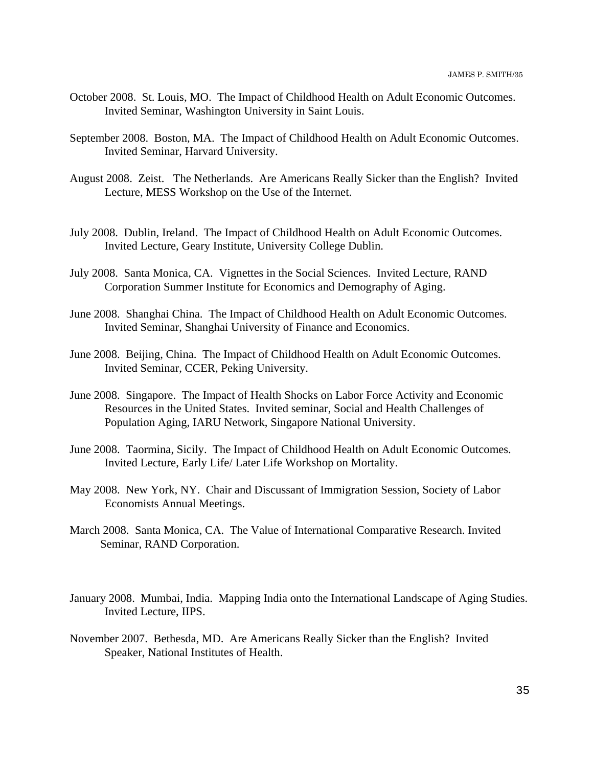- October 2008. St. Louis, MO. The Impact of Childhood Health on Adult Economic Outcomes. Invited Seminar, Washington University in Saint Louis.
- September 2008. Boston, MA. The Impact of Childhood Health on Adult Economic Outcomes. Invited Seminar, Harvard University.
- August 2008. Zeist. The Netherlands. Are Americans Really Sicker than the English? Invited Lecture, MESS Workshop on the Use of the Internet.
- July 2008. Dublin, Ireland. The Impact of Childhood Health on Adult Economic Outcomes. Invited Lecture, Geary Institute, University College Dublin.
- July 2008. Santa Monica, CA. Vignettes in the Social Sciences. Invited Lecture, RAND Corporation Summer Institute for Economics and Demography of Aging.
- June 2008. Shanghai China. The Impact of Childhood Health on Adult Economic Outcomes. Invited Seminar, Shanghai University of Finance and Economics.
- June 2008. Beijing, China. The Impact of Childhood Health on Adult Economic Outcomes. Invited Seminar, CCER, Peking University.
- June 2008. Singapore. The Impact of Health Shocks on Labor Force Activity and Economic Resources in the United States. Invited seminar, Social and Health Challenges of Population Aging, IARU Network, Singapore National University.
- June 2008. Taormina, Sicily. The Impact of Childhood Health on Adult Economic Outcomes. Invited Lecture, Early Life/ Later Life Workshop on Mortality.
- May 2008. New York, NY. Chair and Discussant of Immigration Session, Society of Labor Economists Annual Meetings.
- March 2008. Santa Monica, CA. The Value of International Comparative Research. Invited Seminar, RAND Corporation.
- January 2008. Mumbai, India. Mapping India onto the International Landscape of Aging Studies. Invited Lecture, IIPS.
- November 2007. Bethesda, MD. Are Americans Really Sicker than the English? Invited Speaker, National Institutes of Health.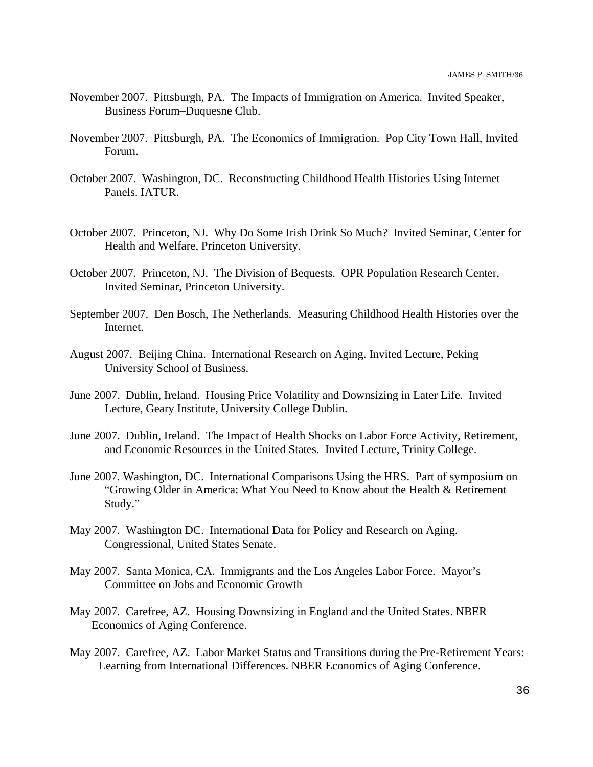- November 2007. Pittsburgh, PA. The Impacts of Immigration on America. Invited Speaker, Business Forum–Duquesne Club.
- November 2007. Pittsburgh, PA. The Economics of Immigration. Pop City Town Hall, Invited Forum.
- October 2007. Washington, DC. Reconstructing Childhood Health Histories Using Internet Panels. IATUR.
- October 2007. Princeton, NJ. Why Do Some Irish Drink So Much? Invited Seminar, Center for Health and Welfare, Princeton University.
- October 2007. Princeton, NJ. The Division of Bequests. OPR Population Research Center, Invited Seminar, Princeton University.
- September 2007. Den Bosch, The Netherlands. Measuring Childhood Health Histories over the Internet.
- August 2007. Beijing China. International Research on Aging. Invited Lecture, Peking University School of Business.
- June 2007. Dublin, Ireland. Housing Price Volatility and Downsizing in Later Life. Invited Lecture, Geary Institute, University College Dublin.
- June 2007. Dublin, Ireland. The Impact of Health Shocks on Labor Force Activity, Retirement, and Economic Resources in the United States. Invited Lecture, Trinity College.
- June 2007. Washington, DC. International Comparisons Using the HRS. Part of symposium on "Growing Older in America: What You Need to Know about the Health & Retirement Study."
- May 2007. Washington DC. International Data for Policy and Research on Aging. Congressional, United States Senate.
- May 2007. Santa Monica, CA. Immigrants and the Los Angeles Labor Force. Mayor's Committee on Jobs and Economic Growth
- May 2007. Carefree, AZ. Housing Downsizing in England and the United States. NBER Economics of Aging Conference.
- May 2007. Carefree, AZ. Labor Market Status and Transitions during the Pre-Retirement Years: Learning from International Differences. NBER Economics of Aging Conference.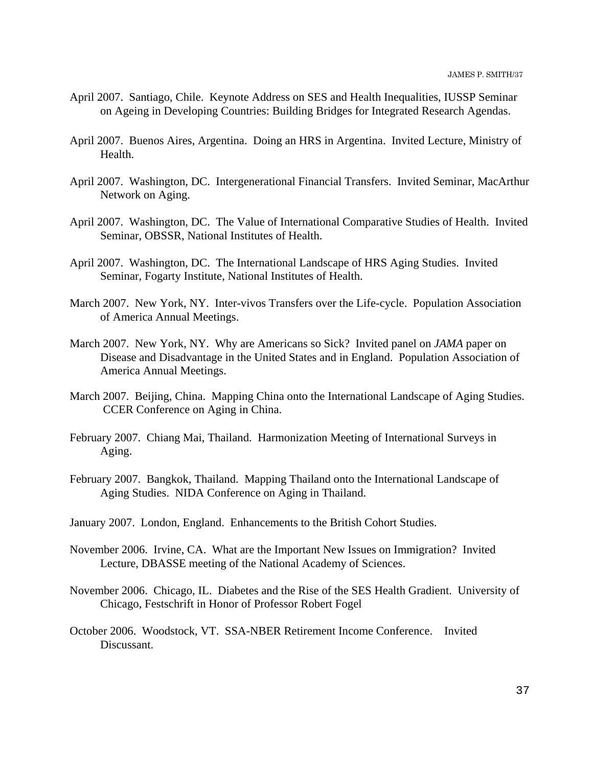- April 2007. Santiago, Chile. Keynote Address on SES and Health Inequalities, IUSSP Seminar on Ageing in Developing Countries: Building Bridges for Integrated Research Agendas.
- April 2007. Buenos Aires, Argentina. Doing an HRS in Argentina. Invited Lecture, Ministry of Health.
- April 2007. Washington, DC. Intergenerational Financial Transfers. Invited Seminar, MacArthur Network on Aging.
- April 2007. Washington, DC. The Value of International Comparative Studies of Health. Invited Seminar, OBSSR, National Institutes of Health.
- April 2007. Washington, DC. The International Landscape of HRS Aging Studies. Invited Seminar, Fogarty Institute, National Institutes of Health.
- March 2007. New York, NY. Inter-vivos Transfers over the Life-cycle. Population Association of America Annual Meetings.
- March 2007. New York, NY. Why are Americans so Sick? Invited panel on *JAMA* paper on Disease and Disadvantage in the United States and in England. Population Association of America Annual Meetings.
- March 2007. Beijing, China. Mapping China onto the International Landscape of Aging Studies. CCER Conference on Aging in China.
- February 2007. Chiang Mai, Thailand. Harmonization Meeting of International Surveys in Aging.
- February 2007. Bangkok, Thailand. Mapping Thailand onto the International Landscape of Aging Studies. NIDA Conference on Aging in Thailand.
- January 2007. London, England. Enhancements to the British Cohort Studies.
- November 2006. Irvine, CA. What are the Important New Issues on Immigration? Invited Lecture, DBASSE meeting of the National Academy of Sciences.
- November 2006. Chicago, IL. Diabetes and the Rise of the SES Health Gradient. University of Chicago, Festschrift in Honor of Professor Robert Fogel
- October 2006. Woodstock, VT. SSA-NBER Retirement Income Conference. Invited Discussant.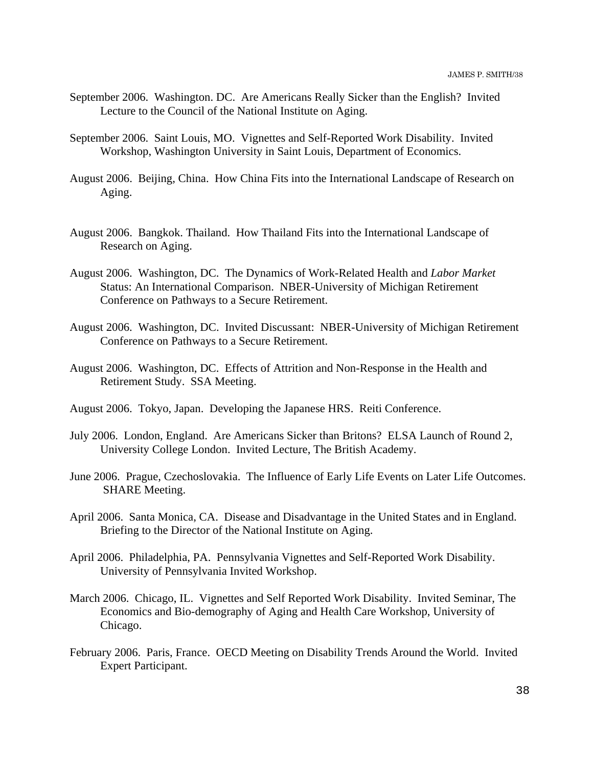- September 2006. Washington. DC. Are Americans Really Sicker than the English? Invited Lecture to the Council of the National Institute on Aging.
- September 2006. Saint Louis, MO. Vignettes and Self-Reported Work Disability. Invited Workshop, Washington University in Saint Louis, Department of Economics.
- August 2006. Beijing, China. How China Fits into the International Landscape of Research on Aging.
- August 2006. Bangkok. Thailand. How Thailand Fits into the International Landscape of Research on Aging.
- August 2006. Washington, DC. The Dynamics of Work-Related Health and *Labor Market* Status: An International Comparison. NBER-University of Michigan Retirement Conference on Pathways to a Secure Retirement.
- August 2006. Washington, DC. Invited Discussant: NBER-University of Michigan Retirement Conference on Pathways to a Secure Retirement.
- August 2006. Washington, DC. Effects of Attrition and Non-Response in the Health and Retirement Study. SSA Meeting.
- August 2006. Tokyo, Japan. Developing the Japanese HRS. Reiti Conference.
- July 2006. London, England. Are Americans Sicker than Britons? ELSA Launch of Round 2, University College London. Invited Lecture, The British Academy.
- June 2006. Prague, Czechoslovakia. The Influence of Early Life Events on Later Life Outcomes. SHARE Meeting.
- April 2006. Santa Monica, CA. Disease and Disadvantage in the United States and in England. Briefing to the Director of the National Institute on Aging.
- April 2006. Philadelphia, PA. Pennsylvania Vignettes and Self-Reported Work Disability. University of Pennsylvania Invited Workshop.
- March 2006. Chicago, IL. Vignettes and Self Reported Work Disability. Invited Seminar, The Economics and Bio-demography of Aging and Health Care Workshop, University of Chicago.
- February 2006. Paris, France. OECD Meeting on Disability Trends Around the World. Invited Expert Participant.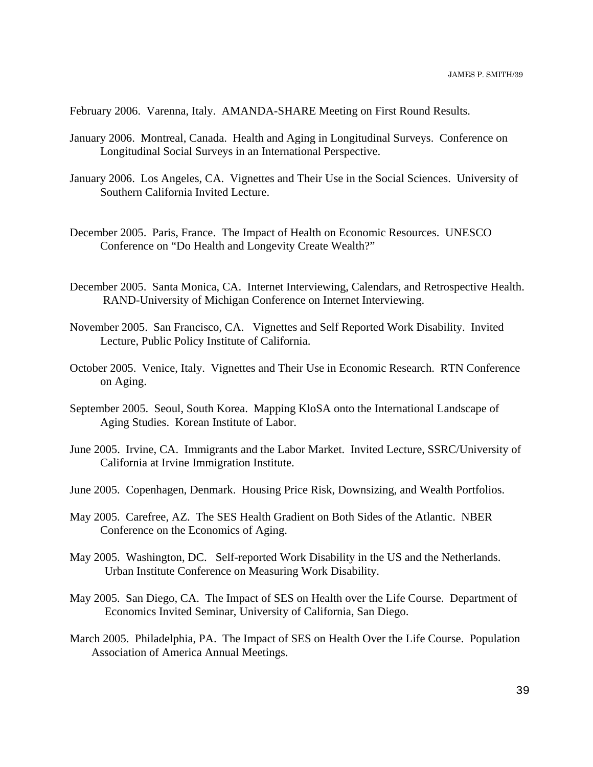February 2006. Varenna, Italy. AMANDA-SHARE Meeting on First Round Results.

- January 2006. Montreal, Canada. Health and Aging in Longitudinal Surveys. Conference on Longitudinal Social Surveys in an International Perspective.
- January 2006. Los Angeles, CA. Vignettes and Their Use in the Social Sciences. University of Southern California Invited Lecture.
- December 2005. Paris, France. The Impact of Health on Economic Resources. UNESCO Conference on "Do Health and Longevity Create Wealth?"
- December 2005. Santa Monica, CA. Internet Interviewing, Calendars, and Retrospective Health. RAND-University of Michigan Conference on Internet Interviewing.
- November 2005. San Francisco, CA. Vignettes and Self Reported Work Disability. Invited Lecture, Public Policy Institute of California.
- October 2005. Venice, Italy. Vignettes and Their Use in Economic Research. RTN Conference on Aging.
- September 2005. Seoul, South Korea. Mapping KloSA onto the International Landscape of Aging Studies. Korean Institute of Labor.
- June 2005. Irvine, CA. Immigrants and the Labor Market. Invited Lecture, SSRC/University of California at Irvine Immigration Institute.
- June 2005. Copenhagen, Denmark. Housing Price Risk, Downsizing, and Wealth Portfolios.
- May 2005. Carefree, AZ. The SES Health Gradient on Both Sides of the Atlantic. NBER Conference on the Economics of Aging.
- May 2005. Washington, DC. Self-reported Work Disability in the US and the Netherlands. Urban Institute Conference on Measuring Work Disability.
- May 2005. San Diego, CA. The Impact of SES on Health over the Life Course. Department of Economics Invited Seminar, University of California, San Diego.
- March 2005. Philadelphia, PA. The Impact of SES on Health Over the Life Course. Population Association of America Annual Meetings.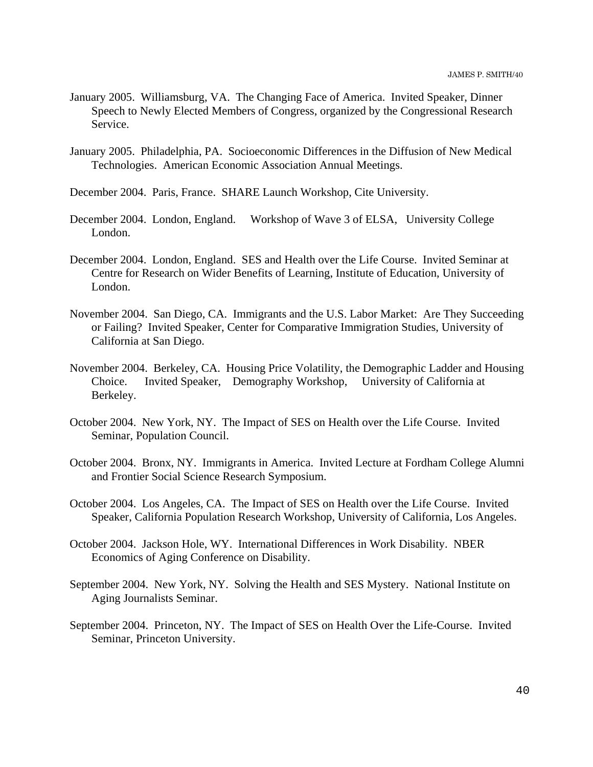- January 2005. Williamsburg, VA. The Changing Face of America. Invited Speaker, Dinner Speech to Newly Elected Members of Congress, organized by the Congressional Research Service.
- January 2005. Philadelphia, PA. Socioeconomic Differences in the Diffusion of New Medical Technologies. American Economic Association Annual Meetings.
- December 2004. Paris, France. SHARE Launch Workshop, Cite University.
- December 2004. London, England. Workshop of Wave 3 of ELSA, University College London.
- December 2004. London, England. SES and Health over the Life Course. Invited Seminar at Centre for Research on Wider Benefits of Learning, Institute of Education, University of London.
- November 2004. San Diego, CA. Immigrants and the U.S. Labor Market: Are They Succeeding or Failing? Invited Speaker, Center for Comparative Immigration Studies, University of California at San Diego.
- November 2004. Berkeley, CA. Housing Price Volatility, the Demographic Ladder and Housing Choice. Invited Speaker, Demography Workshop, University of California at Berkeley.
- October 2004. New York, NY. The Impact of SES on Health over the Life Course. Invited Seminar, Population Council.
- October 2004. Bronx, NY. Immigrants in America. Invited Lecture at Fordham College Alumni and Frontier Social Science Research Symposium.
- October 2004. Los Angeles, CA. The Impact of SES on Health over the Life Course. Invited Speaker, California Population Research Workshop, University of California, Los Angeles.
- October 2004. Jackson Hole, WY. International Differences in Work Disability. NBER Economics of Aging Conference on Disability.
- September 2004. New York, NY. Solving the Health and SES Mystery. National Institute on Aging Journalists Seminar.
- September 2004. Princeton, NY. The Impact of SES on Health Over the Life-Course. Invited Seminar, Princeton University.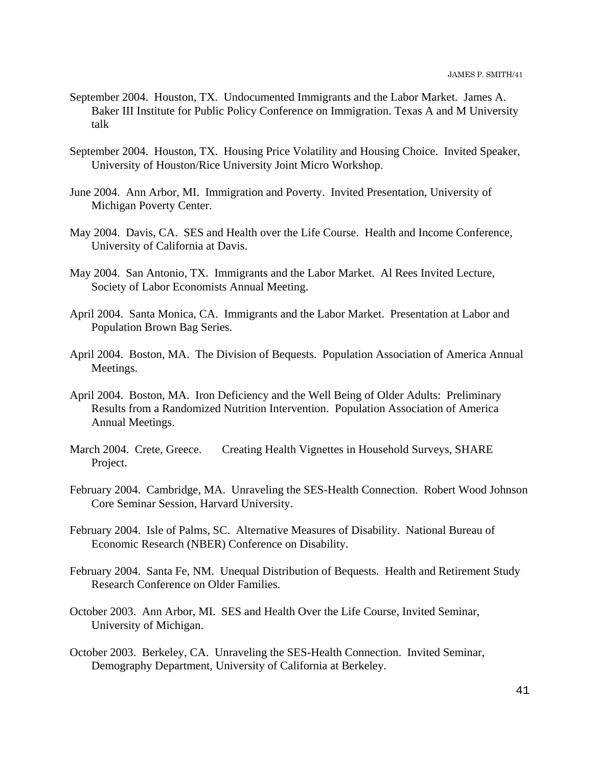- September 2004. Houston, TX. Undocumented Immigrants and the Labor Market. James A. Baker III Institute for Public Policy Conference on Immigration. Texas A and M University talk
- September 2004. Houston, TX. Housing Price Volatility and Housing Choice. Invited Speaker, University of Houston/Rice University Joint Micro Workshop.
- June 2004. Ann Arbor, MI. Immigration and Poverty. Invited Presentation, University of Michigan Poverty Center.
- May 2004. Davis, CA. SES and Health over the Life Course. Health and Income Conference, University of California at Davis.
- May 2004. San Antonio, TX. Immigrants and the Labor Market. Al Rees Invited Lecture, Society of Labor Economists Annual Meeting.
- April 2004. Santa Monica, CA. Immigrants and the Labor Market. Presentation at Labor and Population Brown Bag Series.
- April 2004. Boston, MA. The Division of Bequests. Population Association of America Annual Meetings.
- April 2004. Boston, MA. Iron Deficiency and the Well Being of Older Adults: Preliminary Results from a Randomized Nutrition Intervention. Population Association of America Annual Meetings.
- March 2004. Crete, Greece. Creating Health Vignettes in Household Surveys, SHARE Project.
- February 2004. Cambridge, MA. Unraveling the SES-Health Connection. Robert Wood Johnson Core Seminar Session, Harvard University.
- February 2004. Isle of Palms, SC. Alternative Measures of Disability. National Bureau of Economic Research (NBER) Conference on Disability.
- February 2004. Santa Fe, NM. Unequal Distribution of Bequests. Health and Retirement Study Research Conference on Older Families.
- October 2003. Ann Arbor, MI. SES and Health Over the Life Course, Invited Seminar, University of Michigan.
- October 2003. Berkeley, CA. Unraveling the SES-Health Connection. Invited Seminar, Demography Department, University of California at Berkeley.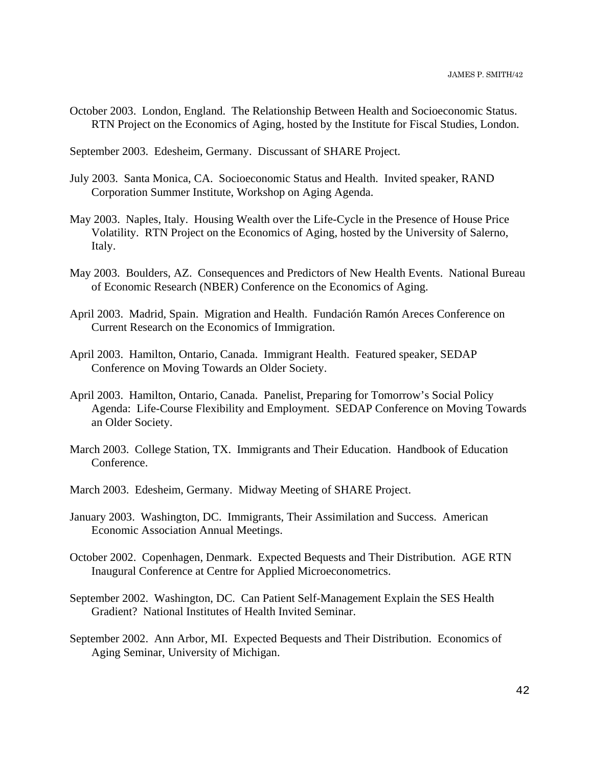October 2003. London, England. The Relationship Between Health and Socioeconomic Status. RTN Project on the Economics of Aging, hosted by the Institute for Fiscal Studies, London.

September 2003. Edesheim, Germany. Discussant of SHARE Project.

- July 2003. Santa Monica, CA. Socioeconomic Status and Health. Invited speaker, RAND Corporation Summer Institute, Workshop on Aging Agenda.
- May 2003. Naples, Italy. Housing Wealth over the Life-Cycle in the Presence of House Price Volatility. RTN Project on the Economics of Aging, hosted by the University of Salerno, Italy.
- May 2003. Boulders, AZ. Consequences and Predictors of New Health Events. National Bureau of Economic Research (NBER) Conference on the Economics of Aging.
- April 2003. Madrid, Spain. Migration and Health. Fundación Ramón Areces Conference on Current Research on the Economics of Immigration.
- April 2003. Hamilton, Ontario, Canada. Immigrant Health. Featured speaker, SEDAP Conference on Moving Towards an Older Society.
- April 2003. Hamilton, Ontario, Canada. Panelist, Preparing for Tomorrow's Social Policy Agenda: Life-Course Flexibility and Employment. SEDAP Conference on Moving Towards an Older Society.
- March 2003. College Station, TX. Immigrants and Their Education. Handbook of Education Conference.
- March 2003. Edesheim, Germany. Midway Meeting of SHARE Project.
- January 2003. Washington, DC. Immigrants, Their Assimilation and Success. American Economic Association Annual Meetings.
- October 2002. Copenhagen, Denmark. Expected Bequests and Their Distribution. AGE RTN Inaugural Conference at Centre for Applied Microeconometrics.
- September 2002. Washington, DC. Can Patient Self-Management Explain the SES Health Gradient? National Institutes of Health Invited Seminar.
- September 2002. Ann Arbor, MI. Expected Bequests and Their Distribution. Economics of Aging Seminar, University of Michigan.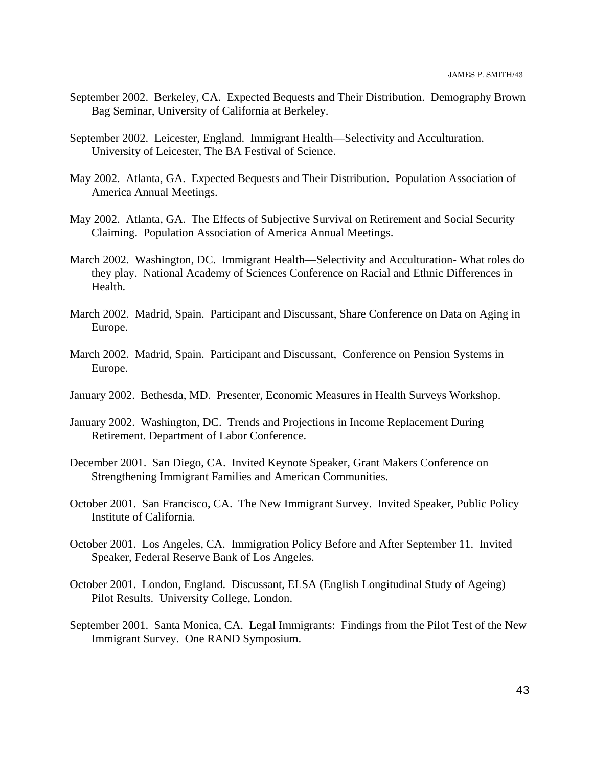- September 2002. Berkeley, CA. Expected Bequests and Their Distribution. Demography Brown Bag Seminar, University of California at Berkeley.
- September 2002. Leicester, England. Immigrant Health—Selectivity and Acculturation. University of Leicester, The BA Festival of Science.
- May 2002. Atlanta, GA. Expected Bequests and Their Distribution. Population Association of America Annual Meetings.
- May 2002. Atlanta, GA. The Effects of Subjective Survival on Retirement and Social Security Claiming. Population Association of America Annual Meetings.
- March 2002. Washington, DC. Immigrant Health—Selectivity and Acculturation- What roles do they play. National Academy of Sciences Conference on Racial and Ethnic Differences in Health.
- March 2002. Madrid, Spain. Participant and Discussant, Share Conference on Data on Aging in Europe.
- March 2002. Madrid, Spain. Participant and Discussant, Conference on Pension Systems in Europe.
- January 2002. Bethesda, MD. Presenter, Economic Measures in Health Surveys Workshop.
- January 2002. Washington, DC. Trends and Projections in Income Replacement During Retirement. Department of Labor Conference.
- December 2001. San Diego, CA. Invited Keynote Speaker, Grant Makers Conference on Strengthening Immigrant Families and American Communities.
- October 2001. San Francisco, CA. The New Immigrant Survey. Invited Speaker, Public Policy Institute of California.
- October 2001. Los Angeles, CA. Immigration Policy Before and After September 11. Invited Speaker, Federal Reserve Bank of Los Angeles.
- October 2001. London, England. Discussant, ELSA (English Longitudinal Study of Ageing) Pilot Results. University College, London.
- September 2001. Santa Monica, CA. Legal Immigrants: Findings from the Pilot Test of the New Immigrant Survey. One RAND Symposium.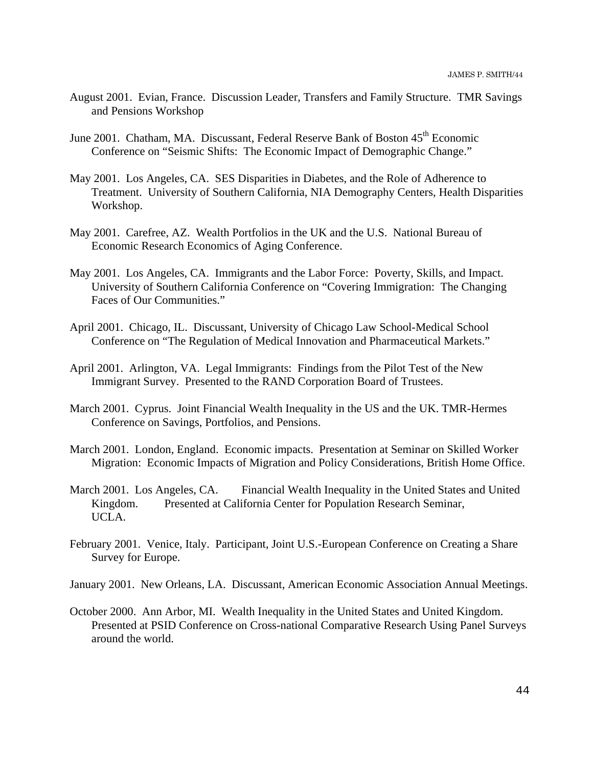- August 2001. Evian, France. Discussion Leader, Transfers and Family Structure. TMR Savings and Pensions Workshop
- June 2001. Chatham, MA. Discussant, Federal Reserve Bank of Boston 45<sup>th</sup> Economic Conference on "Seismic Shifts: The Economic Impact of Demographic Change."
- May 2001. Los Angeles, CA. SES Disparities in Diabetes, and the Role of Adherence to Treatment. University of Southern California, NIA Demography Centers, Health Disparities Workshop.
- May 2001. Carefree, AZ. Wealth Portfolios in the UK and the U.S. National Bureau of Economic Research Economics of Aging Conference.
- May 2001. Los Angeles, CA. Immigrants and the Labor Force: Poverty, Skills, and Impact. University of Southern California Conference on "Covering Immigration: The Changing Faces of Our Communities."
- April 2001. Chicago, IL. Discussant, University of Chicago Law School-Medical School Conference on "The Regulation of Medical Innovation and Pharmaceutical Markets."
- April 2001. Arlington, VA. Legal Immigrants: Findings from the Pilot Test of the New Immigrant Survey. Presented to the RAND Corporation Board of Trustees.
- March 2001. Cyprus. Joint Financial Wealth Inequality in the US and the UK. TMR-Hermes Conference on Savings, Portfolios, and Pensions.
- March 2001. London, England. Economic impacts. Presentation at Seminar on Skilled Worker Migration: Economic Impacts of Migration and Policy Considerations, British Home Office.
- March 2001. Los Angeles, CA. Financial Wealth Inequality in the United States and United Kingdom. Presented at California Center for Population Research Seminar, UCLA.
- February 2001. Venice, Italy. Participant, Joint U.S.-European Conference on Creating a Share Survey for Europe.
- January 2001. New Orleans, LA. Discussant, American Economic Association Annual Meetings.
- October 2000. Ann Arbor, MI. Wealth Inequality in the United States and United Kingdom. Presented at PSID Conference on Cross-national Comparative Research Using Panel Surveys around the world.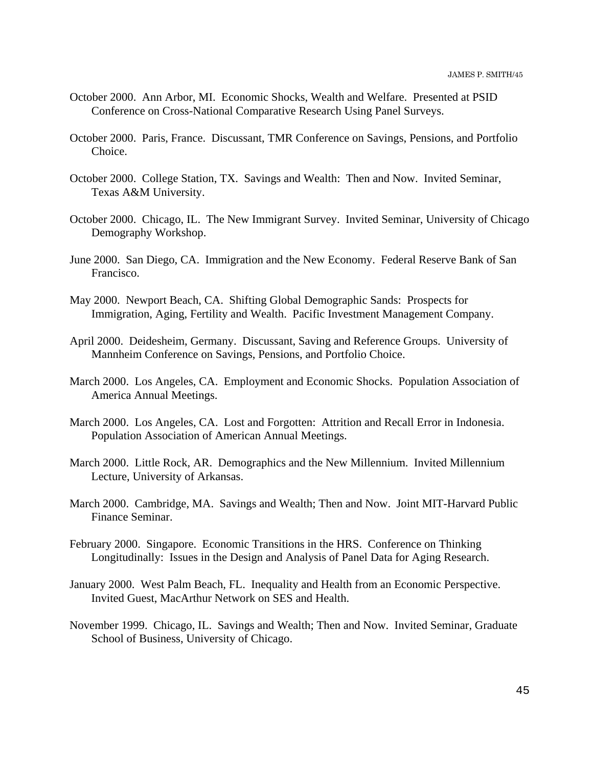- October 2000. Ann Arbor, MI. Economic Shocks, Wealth and Welfare. Presented at PSID Conference on Cross-National Comparative Research Using Panel Surveys.
- October 2000. Paris, France. Discussant, TMR Conference on Savings, Pensions, and Portfolio Choice.
- October 2000. College Station, TX. Savings and Wealth: Then and Now. Invited Seminar, Texas A&M University.
- October 2000. Chicago, IL. The New Immigrant Survey. Invited Seminar, University of Chicago Demography Workshop.
- June 2000. San Diego, CA. Immigration and the New Economy. Federal Reserve Bank of San Francisco.
- May 2000. Newport Beach, CA. Shifting Global Demographic Sands: Prospects for Immigration, Aging, Fertility and Wealth. Pacific Investment Management Company.
- April 2000. Deidesheim, Germany. Discussant, Saving and Reference Groups. University of Mannheim Conference on Savings, Pensions, and Portfolio Choice.
- March 2000. Los Angeles, CA. Employment and Economic Shocks. Population Association of America Annual Meetings.
- March 2000. Los Angeles, CA. Lost and Forgotten: Attrition and Recall Error in Indonesia. Population Association of American Annual Meetings.
- March 2000. Little Rock, AR. Demographics and the New Millennium. Invited Millennium Lecture, University of Arkansas.
- March 2000. Cambridge, MA. Savings and Wealth; Then and Now. Joint MIT-Harvard Public Finance Seminar.
- February 2000. Singapore. Economic Transitions in the HRS. Conference on Thinking Longitudinally: Issues in the Design and Analysis of Panel Data for Aging Research.
- January 2000. West Palm Beach, FL. Inequality and Health from an Economic Perspective. Invited Guest, MacArthur Network on SES and Health.
- November 1999. Chicago, IL. Savings and Wealth; Then and Now. Invited Seminar, Graduate School of Business, University of Chicago.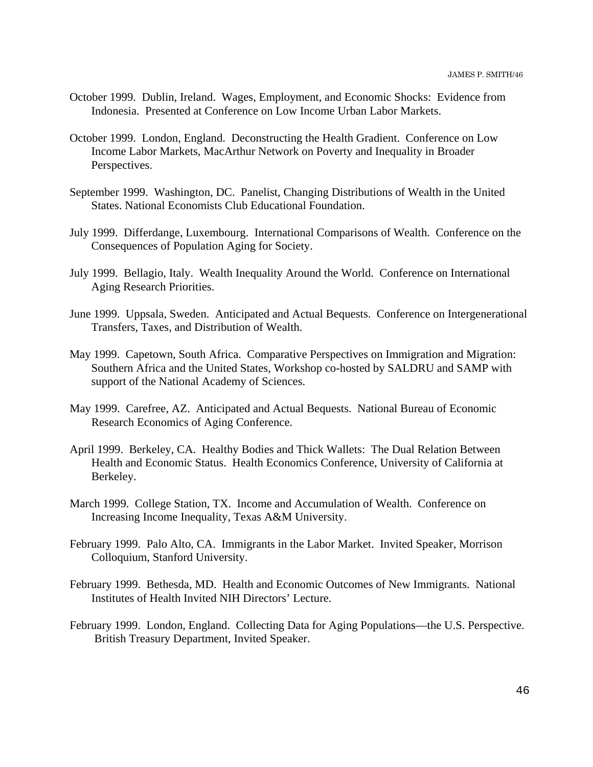- October 1999. Dublin, Ireland. Wages, Employment, and Economic Shocks: Evidence from Indonesia. Presented at Conference on Low Income Urban Labor Markets.
- October 1999. London, England. Deconstructing the Health Gradient. Conference on Low Income Labor Markets, MacArthur Network on Poverty and Inequality in Broader Perspectives.
- September 1999. Washington, DC. Panelist, Changing Distributions of Wealth in the United States. National Economists Club Educational Foundation.
- July 1999. Differdange, Luxembourg. International Comparisons of Wealth. Conference on the Consequences of Population Aging for Society.
- July 1999. Bellagio, Italy. Wealth Inequality Around the World. Conference on International Aging Research Priorities.
- June 1999. Uppsala, Sweden. Anticipated and Actual Bequests. Conference on Intergenerational Transfers, Taxes, and Distribution of Wealth.
- May 1999. Capetown, South Africa. Comparative Perspectives on Immigration and Migration: Southern Africa and the United States, Workshop co-hosted by SALDRU and SAMP with support of the National Academy of Sciences.
- May 1999. Carefree, AZ. Anticipated and Actual Bequests. National Bureau of Economic Research Economics of Aging Conference.
- April 1999. Berkeley, CA. Healthy Bodies and Thick Wallets: The Dual Relation Between Health and Economic Status. Health Economics Conference, University of California at Berkeley.
- March 1999. College Station, TX. Income and Accumulation of Wealth. Conference on Increasing Income Inequality, Texas A&M University.
- February 1999. Palo Alto, CA. Immigrants in the Labor Market. Invited Speaker, Morrison Colloquium, Stanford University.
- February 1999. Bethesda, MD. Health and Economic Outcomes of New Immigrants. National Institutes of Health Invited NIH Directors' Lecture.
- February 1999. London, England. Collecting Data for Aging Populations—the U.S. Perspective. British Treasury Department, Invited Speaker.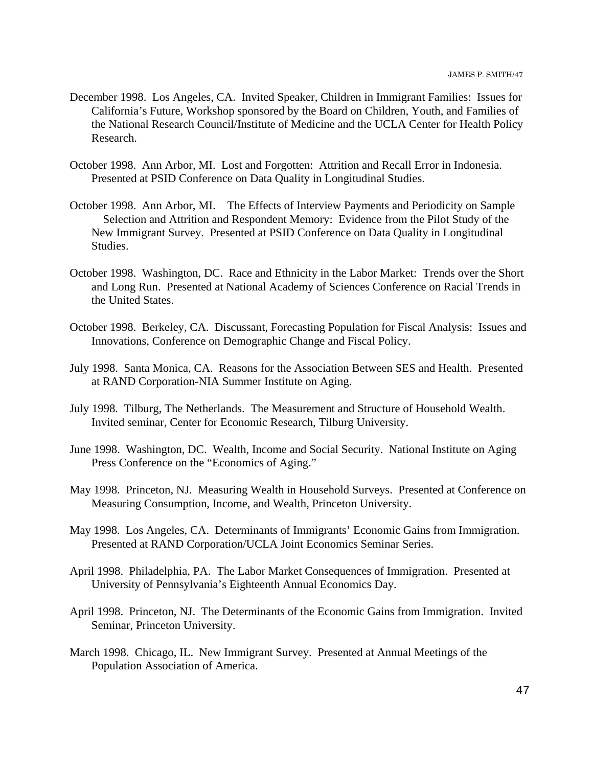- December 1998. Los Angeles, CA. Invited Speaker, Children in Immigrant Families: Issues for California's Future, Workshop sponsored by the Board on Children, Youth, and Families of the National Research Council/Institute of Medicine and the UCLA Center for Health Policy Research.
- October 1998. Ann Arbor, MI. Lost and Forgotten: Attrition and Recall Error in Indonesia. Presented at PSID Conference on Data Quality in Longitudinal Studies.
- October 1998. Ann Arbor, MI. The Effects of Interview Payments and Periodicity on Sample Selection and Attrition and Respondent Memory: Evidence from the Pilot Study of the New Immigrant Survey. Presented at PSID Conference on Data Quality in Longitudinal Studies.
- October 1998. Washington, DC. Race and Ethnicity in the Labor Market: Trends over the Short and Long Run. Presented at National Academy of Sciences Conference on Racial Trends in the United States.
- October 1998. Berkeley, CA. Discussant, Forecasting Population for Fiscal Analysis: Issues and Innovations, Conference on Demographic Change and Fiscal Policy.
- July 1998. Santa Monica, CA. Reasons for the Association Between SES and Health. Presented at RAND Corporation-NIA Summer Institute on Aging.
- July 1998. Tilburg, The Netherlands. The Measurement and Structure of Household Wealth. Invited seminar, Center for Economic Research, Tilburg University.
- June 1998. Washington, DC. Wealth, Income and Social Security. National Institute on Aging Press Conference on the "Economics of Aging."
- May 1998. Princeton, NJ. Measuring Wealth in Household Surveys. Presented at Conference on Measuring Consumption, Income, and Wealth, Princeton University.
- May 1998. Los Angeles, CA. Determinants of Immigrants' Economic Gains from Immigration. Presented at RAND Corporation/UCLA Joint Economics Seminar Series.
- April 1998. Philadelphia, PA. The Labor Market Consequences of Immigration. Presented at University of Pennsylvania's Eighteenth Annual Economics Day.
- April 1998. Princeton, NJ. The Determinants of the Economic Gains from Immigration. Invited Seminar, Princeton University.
- March 1998. Chicago, IL. New Immigrant Survey. Presented at Annual Meetings of the Population Association of America.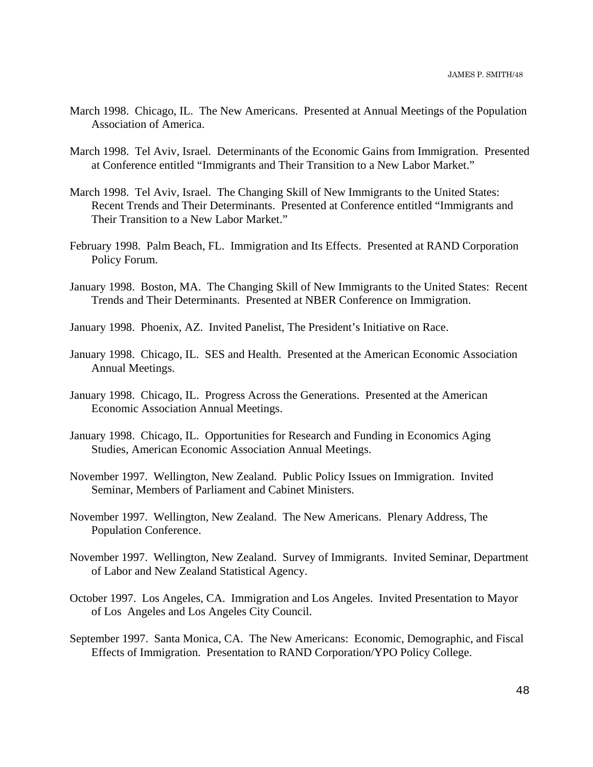- March 1998. Chicago, IL. The New Americans. Presented at Annual Meetings of the Population Association of America.
- March 1998. Tel Aviv, Israel. Determinants of the Economic Gains from Immigration. Presented at Conference entitled "Immigrants and Their Transition to a New Labor Market."
- March 1998. Tel Aviv, Israel. The Changing Skill of New Immigrants to the United States: Recent Trends and Their Determinants. Presented at Conference entitled "Immigrants and Their Transition to a New Labor Market."
- February 1998. Palm Beach, FL. Immigration and Its Effects. Presented at RAND Corporation Policy Forum.
- January 1998. Boston, MA. The Changing Skill of New Immigrants to the United States: Recent Trends and Their Determinants. Presented at NBER Conference on Immigration.
- January 1998. Phoenix, AZ. Invited Panelist, The President's Initiative on Race.
- January 1998. Chicago, IL. SES and Health. Presented at the American Economic Association Annual Meetings.
- January 1998. Chicago, IL. Progress Across the Generations. Presented at the American Economic Association Annual Meetings.
- January 1998. Chicago, IL. Opportunities for Research and Funding in Economics Aging Studies, American Economic Association Annual Meetings.
- November 1997. Wellington, New Zealand. Public Policy Issues on Immigration. Invited Seminar, Members of Parliament and Cabinet Ministers.
- November 1997. Wellington, New Zealand. The New Americans. Plenary Address, The Population Conference.
- November 1997. Wellington, New Zealand. Survey of Immigrants. Invited Seminar, Department of Labor and New Zealand Statistical Agency.
- October 1997. Los Angeles, CA. Immigration and Los Angeles. Invited Presentation to Mayor of Los Angeles and Los Angeles City Council.
- September 1997. Santa Monica, CA. The New Americans: Economic, Demographic, and Fiscal Effects of Immigration. Presentation to RAND Corporation/YPO Policy College.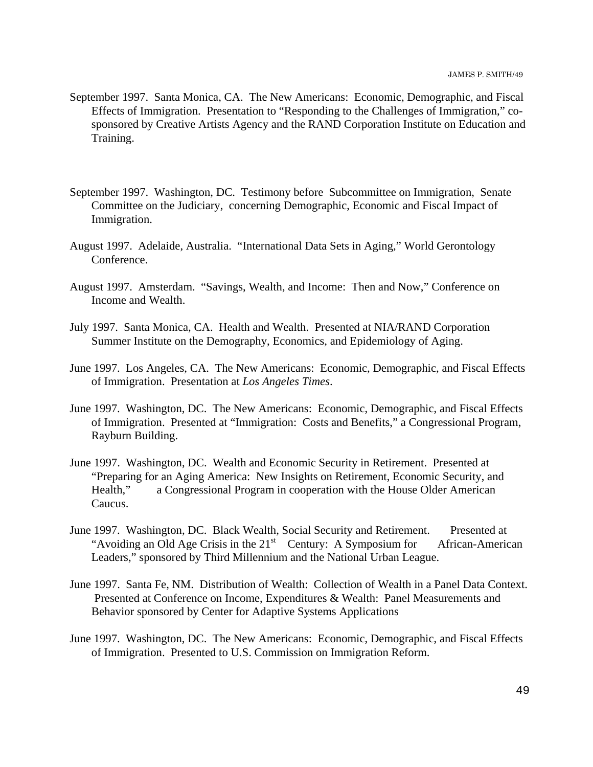- September 1997. Santa Monica, CA. The New Americans: Economic, Demographic, and Fiscal Effects of Immigration. Presentation to "Responding to the Challenges of Immigration," cosponsored by Creative Artists Agency and the RAND Corporation Institute on Education and Training.
- September 1997. Washington, DC. Testimony before Subcommittee on Immigration, Senate Committee on the Judiciary, concerning Demographic, Economic and Fiscal Impact of Immigration.
- August 1997. Adelaide, Australia. "International Data Sets in Aging," World Gerontology Conference.
- August 1997. Amsterdam. "Savings, Wealth, and Income: Then and Now," Conference on Income and Wealth.
- July 1997. Santa Monica, CA. Health and Wealth. Presented at NIA/RAND Corporation Summer Institute on the Demography, Economics, and Epidemiology of Aging.
- June 1997. Los Angeles, CA. The New Americans: Economic, Demographic, and Fiscal Effects of Immigration. Presentation at *Los Angeles Times*.
- June 1997. Washington, DC. The New Americans: Economic, Demographic, and Fiscal Effects of Immigration. Presented at "Immigration: Costs and Benefits," a Congressional Program, Rayburn Building.
- June 1997. Washington, DC. Wealth and Economic Security in Retirement. Presented at "Preparing for an Aging America: New Insights on Retirement, Economic Security, and Health," a Congressional Program in cooperation with the House Older American Caucus.
- June 1997. Washington, DC. Black Wealth, Social Security and Retirement. Presented at "Avoiding an Old Age Crisis in the  $21<sup>st</sup>$  Century: A Symposium for African-American Leaders," sponsored by Third Millennium and the National Urban League.
- June 1997. Santa Fe, NM. Distribution of Wealth: Collection of Wealth in a Panel Data Context. Presented at Conference on Income, Expenditures & Wealth: Panel Measurements and Behavior sponsored by Center for Adaptive Systems Applications
- June 1997. Washington, DC. The New Americans: Economic, Demographic, and Fiscal Effects of Immigration. Presented to U.S. Commission on Immigration Reform.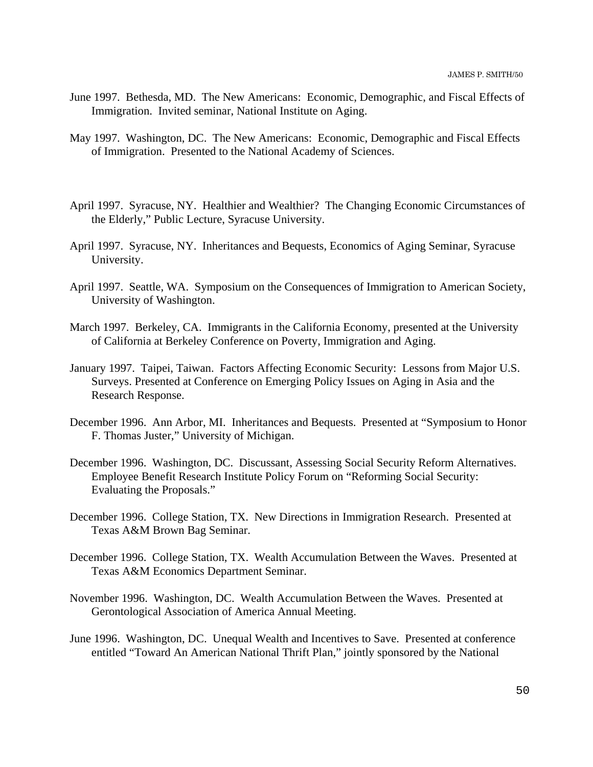- June 1997. Bethesda, MD. The New Americans: Economic, Demographic, and Fiscal Effects of Immigration. Invited seminar, National Institute on Aging.
- May 1997. Washington, DC. The New Americans: Economic, Demographic and Fiscal Effects of Immigration. Presented to the National Academy of Sciences.
- April 1997. Syracuse, NY. Healthier and Wealthier? The Changing Economic Circumstances of the Elderly," Public Lecture, Syracuse University.
- April 1997. Syracuse, NY. Inheritances and Bequests, Economics of Aging Seminar, Syracuse University.
- April 1997. Seattle, WA. Symposium on the Consequences of Immigration to American Society, University of Washington.
- March 1997. Berkeley, CA. Immigrants in the California Economy, presented at the University of California at Berkeley Conference on Poverty, Immigration and Aging.
- January 1997. Taipei, Taiwan. Factors Affecting Economic Security: Lessons from Major U.S. Surveys. Presented at Conference on Emerging Policy Issues on Aging in Asia and the Research Response.
- December 1996. Ann Arbor, MI. Inheritances and Bequests. Presented at "Symposium to Honor F. Thomas Juster," University of Michigan.
- December 1996. Washington, DC. Discussant, Assessing Social Security Reform Alternatives. Employee Benefit Research Institute Policy Forum on "Reforming Social Security: Evaluating the Proposals."
- December 1996. College Station, TX. New Directions in Immigration Research. Presented at Texas A&M Brown Bag Seminar.
- December 1996. College Station, TX. Wealth Accumulation Between the Waves. Presented at Texas A&M Economics Department Seminar.
- November 1996. Washington, DC. Wealth Accumulation Between the Waves. Presented at Gerontological Association of America Annual Meeting.
- June 1996. Washington, DC. Unequal Wealth and Incentives to Save. Presented at conference entitled "Toward An American National Thrift Plan," jointly sponsored by the National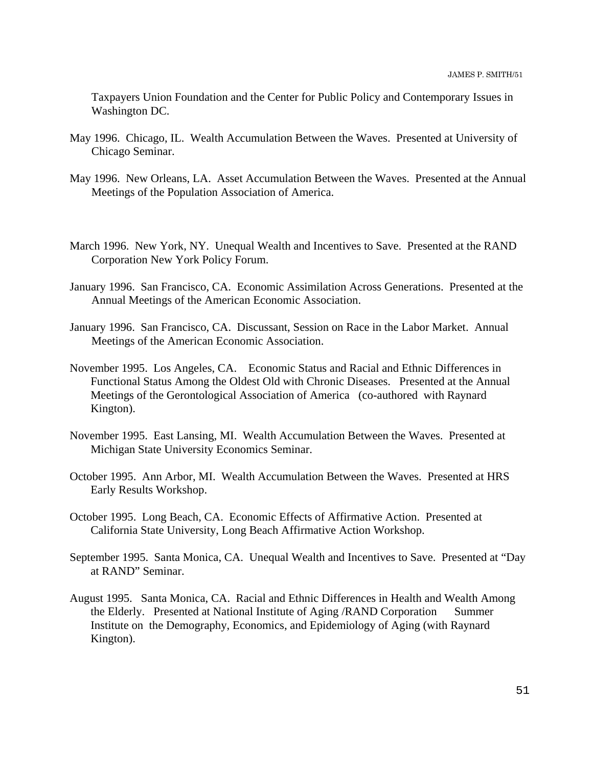Taxpayers Union Foundation and the Center for Public Policy and Contemporary Issues in Washington DC.

- May 1996. Chicago, IL. Wealth Accumulation Between the Waves. Presented at University of Chicago Seminar.
- May 1996. New Orleans, LA. Asset Accumulation Between the Waves. Presented at the Annual Meetings of the Population Association of America.
- March 1996. New York, NY. Unequal Wealth and Incentives to Save. Presented at the RAND Corporation New York Policy Forum.
- January 1996. San Francisco, CA. Economic Assimilation Across Generations. Presented at the Annual Meetings of the American Economic Association.
- January 1996. San Francisco, CA. Discussant, Session on Race in the Labor Market. Annual Meetings of the American Economic Association.
- November 1995. Los Angeles, CA. Economic Status and Racial and Ethnic Differences in Functional Status Among the Oldest Old with Chronic Diseases. Presented at the Annual Meetings of the Gerontological Association of America (co-authored with Raynard Kington).
- November 1995. East Lansing, MI. Wealth Accumulation Between the Waves. Presented at Michigan State University Economics Seminar.
- October 1995. Ann Arbor, MI. Wealth Accumulation Between the Waves. Presented at HRS Early Results Workshop.
- October 1995. Long Beach, CA. Economic Effects of Affirmative Action. Presented at California State University, Long Beach Affirmative Action Workshop.
- September 1995. Santa Monica, CA. Unequal Wealth and Incentives to Save. Presented at "Day at RAND" Seminar.
- August 1995. Santa Monica, CA. Racial and Ethnic Differences in Health and Wealth Among the Elderly. Presented at National Institute of Aging /RAND Corporation Summer Institute on the Demography, Economics, and Epidemiology of Aging (with Raynard Kington).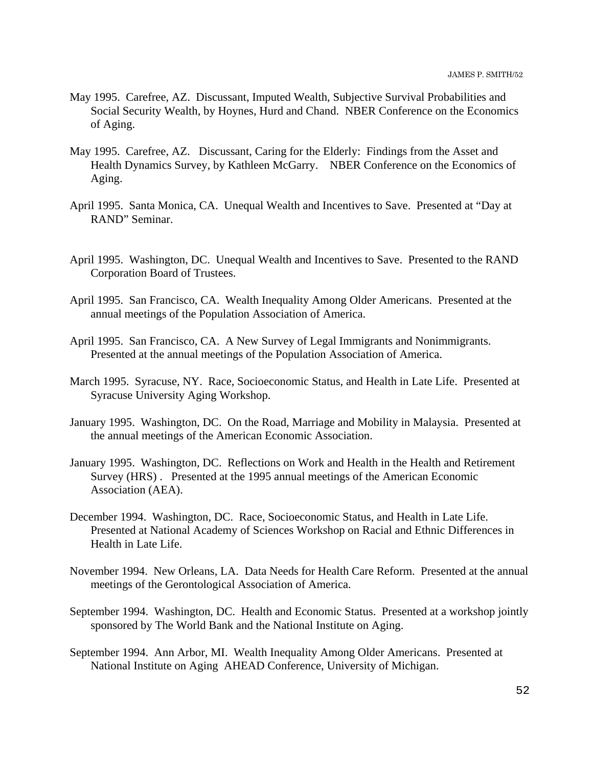- May 1995. Carefree, AZ. Discussant, Imputed Wealth, Subjective Survival Probabilities and Social Security Wealth, by Hoynes, Hurd and Chand. NBER Conference on the Economics of Aging.
- May 1995. Carefree, AZ. Discussant, Caring for the Elderly: Findings from the Asset and Health Dynamics Survey, by Kathleen McGarry. NBER Conference on the Economics of Aging.
- April 1995. Santa Monica, CA. Unequal Wealth and Incentives to Save. Presented at "Day at RAND" Seminar.
- April 1995. Washington, DC. Unequal Wealth and Incentives to Save. Presented to the RAND Corporation Board of Trustees.
- April 1995. San Francisco, CA. Wealth Inequality Among Older Americans. Presented at the annual meetings of the Population Association of America.
- April 1995. San Francisco, CA. A New Survey of Legal Immigrants and Nonimmigrants. Presented at the annual meetings of the Population Association of America.
- March 1995. Syracuse, NY. Race, Socioeconomic Status, and Health in Late Life. Presented at Syracuse University Aging Workshop.
- January 1995. Washington, DC. On the Road, Marriage and Mobility in Malaysia. Presented at the annual meetings of the American Economic Association.
- January 1995. Washington, DC. Reflections on Work and Health in the Health and Retirement Survey (HRS) . Presented at the 1995 annual meetings of the American Economic Association (AEA).
- December 1994. Washington, DC. Race, Socioeconomic Status, and Health in Late Life. Presented at National Academy of Sciences Workshop on Racial and Ethnic Differences in Health in Late Life.
- November 1994. New Orleans, LA. Data Needs for Health Care Reform. Presented at the annual meetings of the Gerontological Association of America.
- September 1994. Washington, DC. Health and Economic Status. Presented at a workshop jointly sponsored by The World Bank and the National Institute on Aging.
- September 1994. Ann Arbor, MI. Wealth Inequality Among Older Americans. Presented at National Institute on Aging AHEAD Conference, University of Michigan.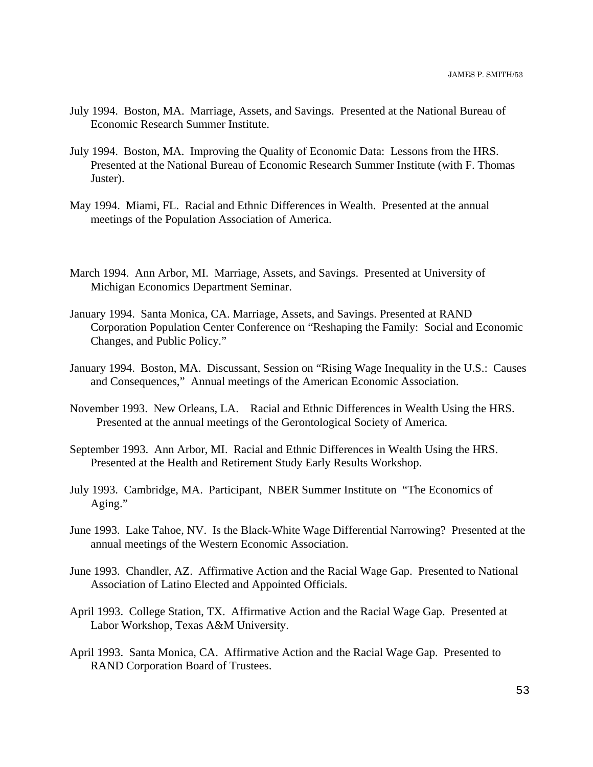- July 1994. Boston, MA. Marriage, Assets, and Savings. Presented at the National Bureau of Economic Research Summer Institute.
- July 1994. Boston, MA. Improving the Quality of Economic Data: Lessons from the HRS. Presented at the National Bureau of Economic Research Summer Institute (with F. Thomas Juster).
- May 1994. Miami, FL. Racial and Ethnic Differences in Wealth. Presented at the annual meetings of the Population Association of America.
- March 1994. Ann Arbor, MI. Marriage, Assets, and Savings. Presented at University of Michigan Economics Department Seminar.
- January 1994. Santa Monica, CA. Marriage, Assets, and Savings. Presented at RAND Corporation Population Center Conference on "Reshaping the Family: Social and Economic Changes, and Public Policy."
- January 1994. Boston, MA. Discussant, Session on "Rising Wage Inequality in the U.S.: Causes and Consequences," Annual meetings of the American Economic Association.
- November 1993. New Orleans, LA. Racial and Ethnic Differences in Wealth Using the HRS. Presented at the annual meetings of the Gerontological Society of America.
- September 1993. Ann Arbor, MI. Racial and Ethnic Differences in Wealth Using the HRS. Presented at the Health and Retirement Study Early Results Workshop.
- July 1993. Cambridge, MA. Participant, NBER Summer Institute on "The Economics of Aging."
- June 1993. Lake Tahoe, NV. Is the Black-White Wage Differential Narrowing? Presented at the annual meetings of the Western Economic Association.
- June 1993. Chandler, AZ. Affirmative Action and the Racial Wage Gap. Presented to National Association of Latino Elected and Appointed Officials.
- April 1993. College Station, TX. Affirmative Action and the Racial Wage Gap. Presented at Labor Workshop, Texas A&M University.
- April 1993. Santa Monica, CA. Affirmative Action and the Racial Wage Gap. Presented to RAND Corporation Board of Trustees.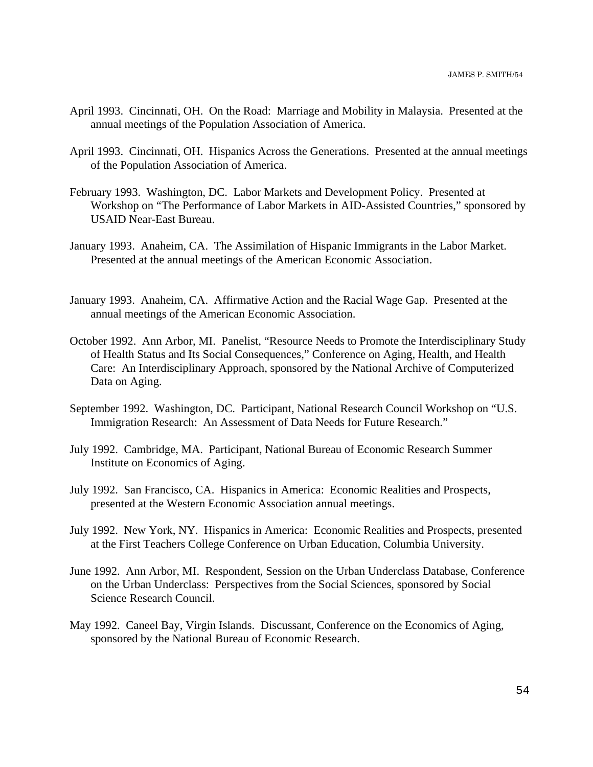- April 1993. Cincinnati, OH. On the Road: Marriage and Mobility in Malaysia. Presented at the annual meetings of the Population Association of America.
- April 1993. Cincinnati, OH. Hispanics Across the Generations. Presented at the annual meetings of the Population Association of America.
- February 1993. Washington, DC. Labor Markets and Development Policy. Presented at Workshop on "The Performance of Labor Markets in AID-Assisted Countries," sponsored by USAID Near-East Bureau.
- January 1993. Anaheim, CA. The Assimilation of Hispanic Immigrants in the Labor Market. Presented at the annual meetings of the American Economic Association.
- January 1993. Anaheim, CA. Affirmative Action and the Racial Wage Gap. Presented at the annual meetings of the American Economic Association.
- October 1992. Ann Arbor, MI. Panelist, "Resource Needs to Promote the Interdisciplinary Study of Health Status and Its Social Consequences," Conference on Aging, Health, and Health Care: An Interdisciplinary Approach, sponsored by the National Archive of Computerized Data on Aging.
- September 1992. Washington, DC. Participant, National Research Council Workshop on "U.S. Immigration Research: An Assessment of Data Needs for Future Research."
- July 1992. Cambridge, MA. Participant, National Bureau of Economic Research Summer Institute on Economics of Aging.
- July 1992. San Francisco, CA. Hispanics in America: Economic Realities and Prospects, presented at the Western Economic Association annual meetings.
- July 1992. New York, NY. Hispanics in America: Economic Realities and Prospects, presented at the First Teachers College Conference on Urban Education, Columbia University.
- June 1992. Ann Arbor, MI. Respondent, Session on the Urban Underclass Database, Conference on the Urban Underclass: Perspectives from the Social Sciences, sponsored by Social Science Research Council.
- May 1992. Caneel Bay, Virgin Islands. Discussant, Conference on the Economics of Aging, sponsored by the National Bureau of Economic Research.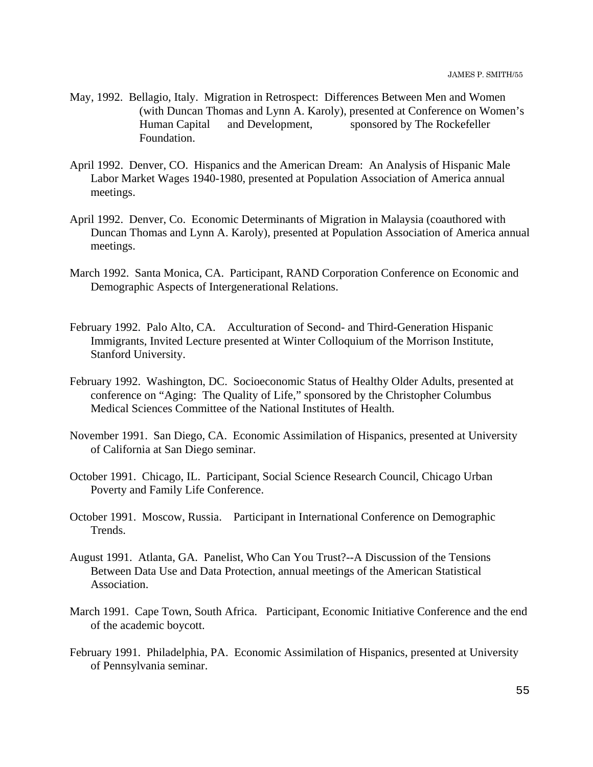- May, 1992. Bellagio, Italy. Migration in Retrospect: Differences Between Men and Women (with Duncan Thomas and Lynn A. Karoly), presented at Conference on Women's Human Capital and Development, sponsored by The Rockefeller Foundation.
- April 1992. Denver, CO. Hispanics and the American Dream: An Analysis of Hispanic Male Labor Market Wages 1940-1980, presented at Population Association of America annual meetings.
- April 1992. Denver, Co. Economic Determinants of Migration in Malaysia (coauthored with Duncan Thomas and Lynn A. Karoly), presented at Population Association of America annual meetings.
- March 1992. Santa Monica, CA. Participant, RAND Corporation Conference on Economic and Demographic Aspects of Intergenerational Relations.
- February 1992. Palo Alto, CA. Acculturation of Second- and Third-Generation Hispanic Immigrants, Invited Lecture presented at Winter Colloquium of the Morrison Institute, Stanford University.
- February 1992. Washington, DC. Socioeconomic Status of Healthy Older Adults, presented at conference on "Aging: The Quality of Life," sponsored by the Christopher Columbus Medical Sciences Committee of the National Institutes of Health.
- November 1991. San Diego, CA. Economic Assimilation of Hispanics, presented at University of California at San Diego seminar.
- October 1991. Chicago, IL. Participant, Social Science Research Council, Chicago Urban Poverty and Family Life Conference.
- October 1991. Moscow, Russia. Participant in International Conference on Demographic Trends.
- August 1991. Atlanta, GA. Panelist, Who Can You Trust?--A Discussion of the Tensions Between Data Use and Data Protection, annual meetings of the American Statistical Association.
- March 1991. Cape Town, South Africa. Participant, Economic Initiative Conference and the end of the academic boycott.
- February 1991. Philadelphia, PA. Economic Assimilation of Hispanics, presented at University of Pennsylvania seminar.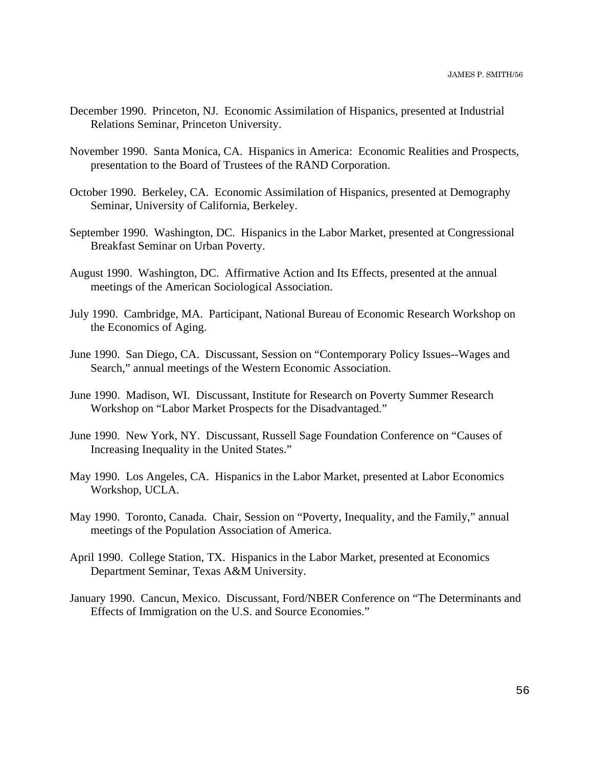- December 1990. Princeton, NJ. Economic Assimilation of Hispanics, presented at Industrial Relations Seminar, Princeton University.
- November 1990. Santa Monica, CA. Hispanics in America: Economic Realities and Prospects, presentation to the Board of Trustees of the RAND Corporation.
- October 1990. Berkeley, CA. Economic Assimilation of Hispanics, presented at Demography Seminar, University of California, Berkeley.
- September 1990. Washington, DC. Hispanics in the Labor Market, presented at Congressional Breakfast Seminar on Urban Poverty.
- August 1990. Washington, DC. Affirmative Action and Its Effects, presented at the annual meetings of the American Sociological Association.
- July 1990. Cambridge, MA. Participant, National Bureau of Economic Research Workshop on the Economics of Aging.
- June 1990. San Diego, CA. Discussant, Session on "Contemporary Policy Issues--Wages and Search," annual meetings of the Western Economic Association.
- June 1990. Madison, WI. Discussant, Institute for Research on Poverty Summer Research Workshop on "Labor Market Prospects for the Disadvantaged."
- June 1990. New York, NY. Discussant, Russell Sage Foundation Conference on "Causes of Increasing Inequality in the United States."
- May 1990. Los Angeles, CA. Hispanics in the Labor Market, presented at Labor Economics Workshop, UCLA.
- May 1990. Toronto, Canada. Chair, Session on "Poverty, Inequality, and the Family," annual meetings of the Population Association of America.
- April 1990. College Station, TX. Hispanics in the Labor Market, presented at Economics Department Seminar, Texas A&M University.
- January 1990. Cancun, Mexico. Discussant, Ford/NBER Conference on "The Determinants and Effects of Immigration on the U.S. and Source Economies."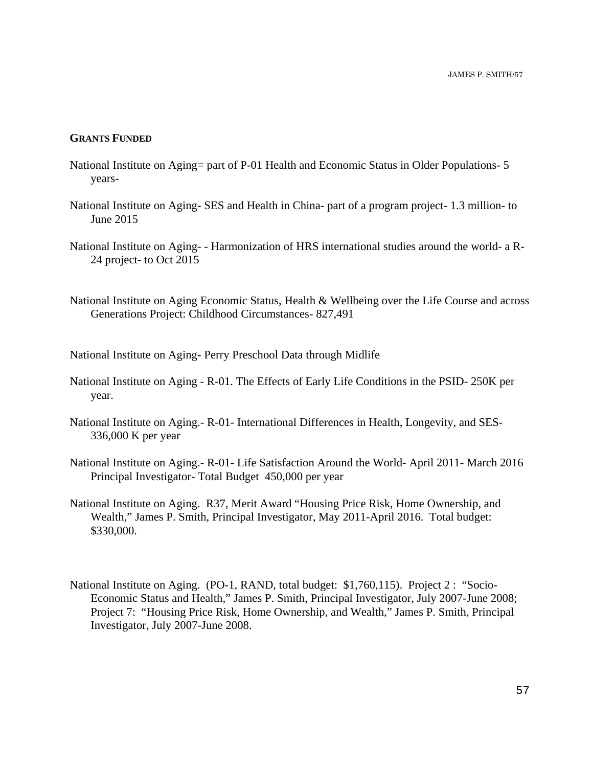# **GRANTS FUNDED**

- National Institute on Aging= part of P-01 Health and Economic Status in Older Populations- 5 years-
- National Institute on Aging- SES and Health in China- part of a program project- 1.3 million- to June 2015
- National Institute on Aging- Harmonization of HRS international studies around the world- a R-24 project- to Oct 2015
- National Institute on Aging Economic Status, Health & Wellbeing over the Life Course and across Generations Project: Childhood Circumstances- 827,491

National Institute on Aging- Perry Preschool Data through Midlife

- National Institute on Aging R-01. The Effects of Early Life Conditions in the PSID- 250K per year.
- National Institute on Aging.- R-01- International Differences in Health, Longevity, and SES-336,000 K per year
- National Institute on Aging.- R-01- Life Satisfaction Around the World- April 2011- March 2016 Principal Investigator- Total Budget 450,000 per year
- National Institute on Aging. R37, Merit Award "Housing Price Risk, Home Ownership, and Wealth," James P. Smith, Principal Investigator, May 2011-April 2016. Total budget: \$330,000.
- National Institute on Aging. (PO-1, RAND, total budget: \$1,760,115). Project 2 : "Socio-Economic Status and Health," James P. Smith, Principal Investigator, July 2007-June 2008; Project 7: "Housing Price Risk, Home Ownership, and Wealth," James P. Smith, Principal Investigator, July 2007-June 2008.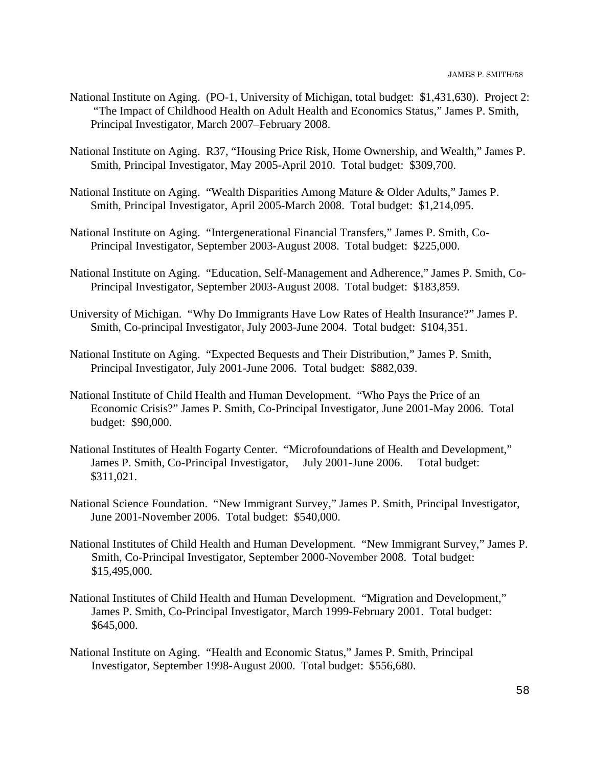- National Institute on Aging. (PO-1, University of Michigan, total budget: \$1,431,630). Project 2: "The Impact of Childhood Health on Adult Health and Economics Status," James P. Smith, Principal Investigator, March 2007–February 2008.
- National Institute on Aging. R37, "Housing Price Risk, Home Ownership, and Wealth," James P. Smith, Principal Investigator, May 2005-April 2010. Total budget: \$309,700.
- National Institute on Aging. "Wealth Disparities Among Mature & Older Adults," James P. Smith, Principal Investigator, April 2005-March 2008. Total budget: \$1,214,095.
- National Institute on Aging. "Intergenerational Financial Transfers," James P. Smith, Co-Principal Investigator, September 2003-August 2008. Total budget: \$225,000.
- National Institute on Aging. "Education, Self-Management and Adherence," James P. Smith, Co-Principal Investigator, September 2003-August 2008. Total budget: \$183,859.
- University of Michigan. "Why Do Immigrants Have Low Rates of Health Insurance?" James P. Smith, Co-principal Investigator, July 2003-June 2004. Total budget: \$104,351.
- National Institute on Aging. "Expected Bequests and Their Distribution," James P. Smith, Principal Investigator, July 2001-June 2006. Total budget: \$882,039.
- National Institute of Child Health and Human Development. "Who Pays the Price of an Economic Crisis?" James P. Smith, Co-Principal Investigator, June 2001-May 2006. Total budget: \$90,000.
- National Institutes of Health Fogarty Center. "Microfoundations of Health and Development," James P. Smith, Co-Principal Investigator, July 2001-June 2006. Total budget: \$311,021.
- National Science Foundation. "New Immigrant Survey," James P. Smith, Principal Investigator, June 2001-November 2006. Total budget: \$540,000.
- National Institutes of Child Health and Human Development. "New Immigrant Survey," James P. Smith, Co-Principal Investigator, September 2000-November 2008. Total budget: \$15,495,000.
- National Institutes of Child Health and Human Development. "Migration and Development," James P. Smith, Co-Principal Investigator, March 1999-February 2001. Total budget: \$645,000.
- National Institute on Aging. "Health and Economic Status," James P. Smith, Principal Investigator, September 1998-August 2000. Total budget: \$556,680.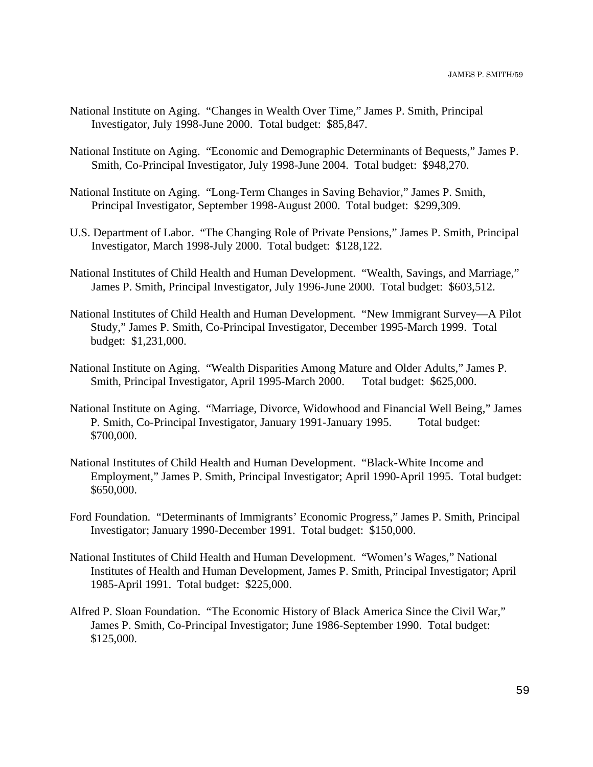- National Institute on Aging. "Changes in Wealth Over Time," James P. Smith, Principal Investigator, July 1998-June 2000. Total budget: \$85,847.
- National Institute on Aging. "Economic and Demographic Determinants of Bequests," James P. Smith, Co-Principal Investigator, July 1998-June 2004. Total budget: \$948,270.
- National Institute on Aging. "Long-Term Changes in Saving Behavior," James P. Smith, Principal Investigator, September 1998-August 2000. Total budget: \$299,309.
- U.S. Department of Labor. "The Changing Role of Private Pensions," James P. Smith, Principal Investigator, March 1998-July 2000. Total budget: \$128,122.
- National Institutes of Child Health and Human Development. "Wealth, Savings, and Marriage," James P. Smith, Principal Investigator, July 1996-June 2000. Total budget: \$603,512.
- National Institutes of Child Health and Human Development. "New Immigrant Survey—A Pilot Study," James P. Smith, Co-Principal Investigator, December 1995-March 1999. Total budget: \$1,231,000.
- National Institute on Aging. "Wealth Disparities Among Mature and Older Adults," James P. Smith, Principal Investigator, April 1995-March 2000. Total budget: \$625,000.
- National Institute on Aging. "Marriage, Divorce, Widowhood and Financial Well Being," James P. Smith, Co-Principal Investigator, January 1991-January 1995. Total budget: \$700,000.
- National Institutes of Child Health and Human Development. "Black-White Income and Employment," James P. Smith, Principal Investigator; April 1990-April 1995. Total budget: \$650,000.
- Ford Foundation. "Determinants of Immigrants' Economic Progress," James P. Smith, Principal Investigator; January 1990-December 1991. Total budget: \$150,000.
- National Institutes of Child Health and Human Development. "Women's Wages," National Institutes of Health and Human Development, James P. Smith, Principal Investigator; April 1985-April 1991. Total budget: \$225,000.
- Alfred P. Sloan Foundation. "The Economic History of Black America Since the Civil War," James P. Smith, Co-Principal Investigator; June 1986-September 1990. Total budget: \$125,000.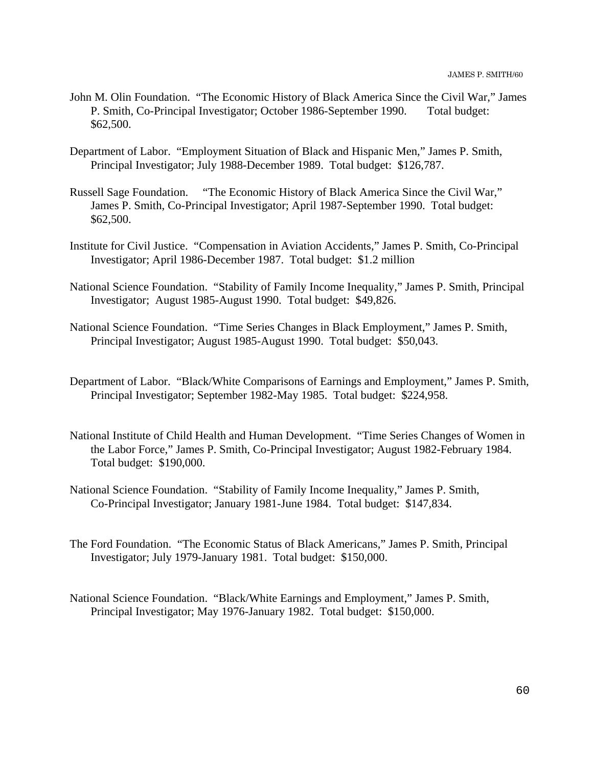- John M. Olin Foundation. "The Economic History of Black America Since the Civil War," James P. Smith, Co-Principal Investigator; October 1986-September 1990. Total budget: \$62,500.
- Department of Labor. "Employment Situation of Black and Hispanic Men," James P. Smith, Principal Investigator; July 1988-December 1989. Total budget: \$126,787.
- Russell Sage Foundation. "The Economic History of Black America Since the Civil War," James P. Smith, Co-Principal Investigator; April 1987-September 1990. Total budget: \$62,500.
- Institute for Civil Justice. "Compensation in Aviation Accidents," James P. Smith, Co-Principal Investigator; April 1986-December 1987. Total budget: \$1.2 million
- National Science Foundation. "Stability of Family Income Inequality," James P. Smith, Principal Investigator; August 1985-August 1990. Total budget: \$49,826.
- National Science Foundation. "Time Series Changes in Black Employment," James P. Smith, Principal Investigator; August 1985-August 1990. Total budget: \$50,043.
- Department of Labor. "Black/White Comparisons of Earnings and Employment," James P. Smith, Principal Investigator; September 1982-May 1985. Total budget: \$224,958.
- National Institute of Child Health and Human Development. "Time Series Changes of Women in the Labor Force," James P. Smith, Co-Principal Investigator; August 1982-February 1984. Total budget: \$190,000.
- National Science Foundation. "Stability of Family Income Inequality," James P. Smith, Co-Principal Investigator; January 1981-June 1984. Total budget: \$147,834.
- The Ford Foundation. "The Economic Status of Black Americans," James P. Smith, Principal Investigator; July 1979-January 1981. Total budget: \$150,000.
- National Science Foundation. "Black/White Earnings and Employment," James P. Smith, Principal Investigator; May 1976-January 1982. Total budget: \$150,000.